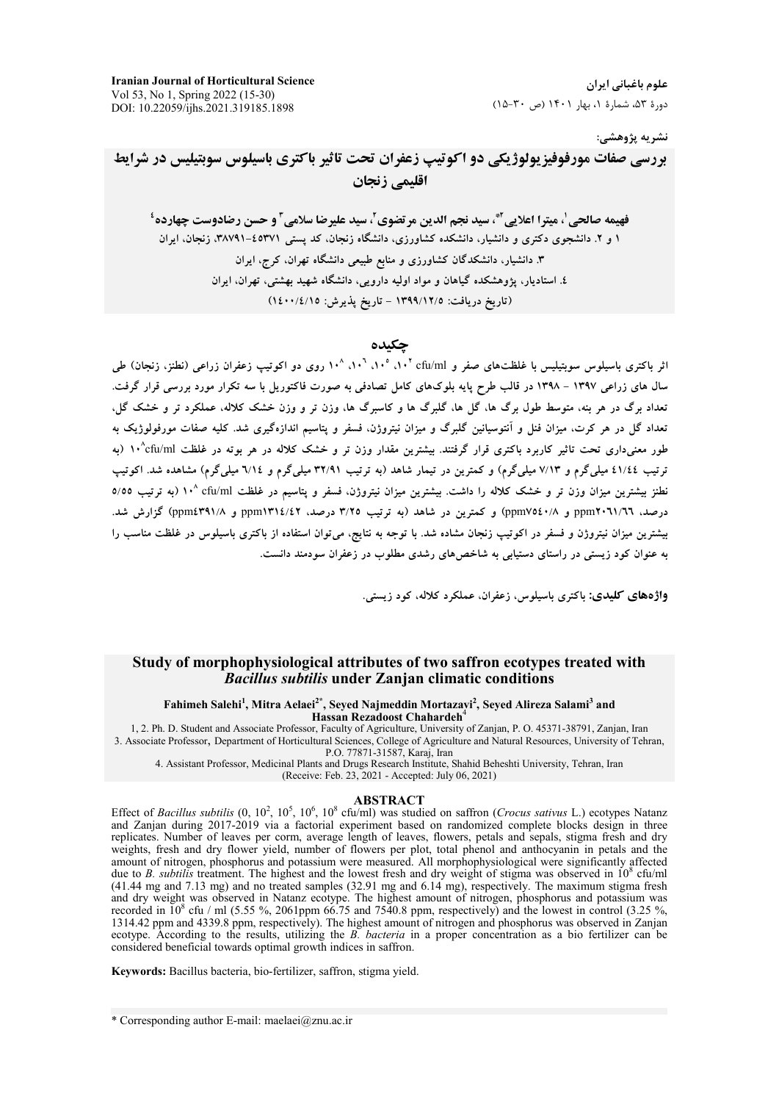**Iranian Journal of Horticultural Science** Vol 53, No 1, Spring 2022 (15-30) DOI: 10.22059/ijhs.2021.319185.1898

علوم باغیانی ایران دورهٔ ۵۳، شمارهٔ ۱، بهار ۱۴۰۱ (ص ۳۰-۱۵)

#### نشريه پژوهشي:

بررسی صفات مورفوفیز یولوژیکی دو اکوتیپ زعفران تحت تاثیر باکتری باسیلوس سوبتیلیس در شرایط اقلیمی زنجان

فهيمه صالحي ٰ، ميترا اعلايي ِ ِ ۚ، سيد نجم الدين مرتضوي ِّ، سيد عليرضا سلامي ِ ۖ و حسن رضادوست چهارده ٔ ۱ و ۲. دانشجوی دکتری و دانشیار، دانشکده کشاورزی، دانشگاه زنجان، کد پستی ۶۵۳۷۱-۳۸۷۹۱، زنجان، ایران ۳. دانشیار، دانشکدگان کشاورزی و منابع طبیعی دانشگاه تهران، کرج، ایران ٤. استادیار، پژوهشکده گیاهان و مواد اولیه دارویی، دانشگاه شهید بهشتی، تهران، ایران (تاریخ دریافت: ١٣٩٩/١٢/٥ - تاریخ پذیرش: ١٤٠٠/٤/١٥)

### حكىدە

اثر باکتری باسیلوس سویتیلیس با غلظتهای صفر و ۰٫۰<sup>۲ د</sup>۰۱، °۰۱، °۰۱، °۰۱، روی دو اکوتیپ زعفران زراعی (نطنز، زنجان) طی سال های زراعی ۱۳۹۷ – ۱۳۹۸ در قالب طرح پایه بلوکهای کامل تصادفی به صورت فاکتوریل با سه تکرار مورد بررسی قرار گرفت. تعداد برگ در هر بنه، متوسط طول برگ ها، گل ها، گلبرگ ها و کاسبرگ ها، وزن تر و وزن خشک کلاله، عملکرد تر و خشک گل، تعداد گل در هر کرت، میزان فنل و آنتوسیانین گلبرگ و میزان نیتروژن، فسفر و پتاسیم اندازهگیری شد. کلیه صفات مورفولوژیک به طور معنیداری تحت تاثیر کاربرد باکتری قرار گرفتند. بیشترین مقدار وزن تر و خشک کلاله در هر بوته در غلظت ۱۰<sup>۰</sup>cfu/ml (به ترتیب ٤١/٤٤ میلیگرم و ٧/١٣ میلیگرم) و کمترین در تیمار شاهد (به ترتیب ٣٢/٩١ میلیگرم و ٦/١٤ میلیگرم) مشاهده شد. اکوتیپ نطنز بیشترین میزان وزن تر و خشک کلاله را داشت. بیشترین میزان نیتروژن، فسفر و پتاسیم در غلظت ۱۰<sup>۸ (۱</sup>۰ (به ترتیب ۵/۵۵ درصد، ppm۲۰٦۱/٦٦ و ppm۷۵٤۰/۸) و کمترین در شاهد (به ترتیب ۳/۲۵ درصد، ppm۱۳۱٤/٤۲ و ppm٤٣٩١/۸) گزارش شد. بیشترین میزان نیتروژن و فسفر در اکوتیپ زنجان مشاده شد. با توجه به نتایج، میتوان استفاده از باکتری باسیلوس در غلظت مناسب را به عنوان کود زیستی در راستای دستیابی به شاخص های رشدی مطلوب در زعفران سودمند دانست.

واژههای کلیدی: باکتری باسیلوس، زعفران، عملکرد کلاله، کود زیستی.

### Study of morphophysiological attributes of two saffron ecotypes treated with **Bacillus subtilis under Zanjan climatic conditions**

Fahimeh Salehi<sup>1</sup>, Mitra Aelaei<sup>2\*</sup>, Seyed Najmeddin Mortazayi<sup>2</sup>, Seyed Alireza Salami<sup>3</sup> and<br>Hassan Rezadoost Chahardeh<sup>4</sup>

1, 2. Ph. D. Student and Associate Professor, Faculty of Agriculture, University of Zanjan, P. O. 45371-38791, Zanjan, Iran 3. Associate Professor, Department of Horticultural Sciences, College of Agriculture and Natural Resources, University of Tehran, P.O. 77871-31587, Karaj, Iran

4. Assistant Professor, Medicinal Plants and Drugs Research Institute, Shahid Beheshti University, Tehran, Iran

(Receive: Feb. 23, 2021 - Accepted: July 06, 2021)

#### **ABSTRACT**

Effect of *Bacillus subtilis*  $(0, 10^2, 10^5, 10^6, 10^8 \text{ e} \text{fu/ml})$  was studied on saffron *(Crocus sativus* L.) ecotypes Natanz and Zanjan during 2017-2019 via a factorial experiment based on randomized complete blocks design in three replicates. Number of leaves per corm, average length of leaves, flowers, petals and sepals, stigma fresh and dry weights, fresh and dry flower yield, number of flowers per plot, total phenol and anthocyanin in petals and the amount of nitrogen, phosphorus and potassium were measured. All morphophysiological were significantly affected due to B. subtilis treatment. The highest and the lowest fresh and dry weight of stigma was observed in  $10^8$  cfu/ml (41.44 mg and 7.13 mg) and no treated samples (32.91 mg and 6.14 mg), respectively. The maximum stigma fresh and dry weight was observed in Natanz ecotype. The highest amount of nitrogen, phosphorus and potassium was recorded in  $10^8$  cfu / ml (5.55 %, 2061ppm 66.75 and 7540.8 ppm, respectively) and the lowest in control (3.25 %, 1314.42 ppm and 4339.8 ppm, respectively). The highest amount of nitrogen and phosphorus was observed in Zanjan ecotype. According to the results, utilizing the B. bacteria in a proper concentration as a bio fertilizer can be considered beneficial towards optimal growth indices in saffron.

Keywords: Bacillus bacteria, bio-fertilizer, saffron, stigma yield.

\* Corresponding author E-mail: maelaei@znu.ac.ir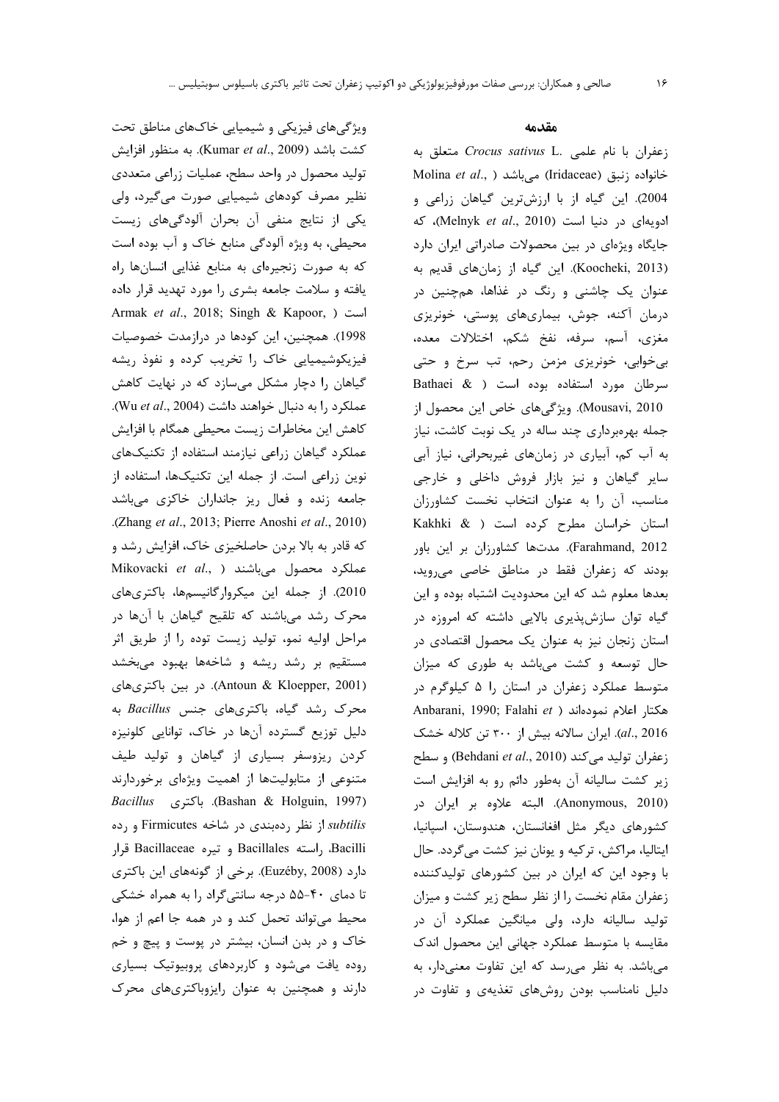ویژگیهای فیزیکی و شیمیایی خاکهای مناطق تحت كشت باشد (Kumar et al., 2009). به منظور افزايش تولید محصول در واحد سطح، عملیات زراعی متعددی نظیر مصرف کودهای شیمیایی صورت می گیرد، ولی یکی از نتایج منفی آن بحران آلودگیهای زیست محیطی، به ویژه آلودگی منابع خاک و آب بوده است که به صورت زنجیرهای به منابع غذایی انسانها راه یافته و سلامت جامعه بشری را مورد تهدید قرار داده Armak et al., 2018; Singh & Kapoor, ) است 1998). همچنین، این کودها در درازمدت خصوصیات فیزیکوشیمیایی خاک را تخریب کرده و نفوذ ریشه گیاهان را دچار مشکل میسازد که در نهایت کاهش عملكرد را به دنبال خواهند داشت (Wu et al., 2004). كاهش اين مخاطرات زيست محيطى همگام با افزايش عملکرد گیاهان زراعی نیازمند استفاده از تکنیکهای نوین زراعی است. از جمله این تکنیکها، استفاده از جامعه زنده و فعال ریز جانداران خاکزی میباشد .(Zhang et al., 2013; Pierre Anoshi et al., 2010) که قادر به بالا بردن حاصلخیزی خاک، افزایش رشد و Mikovacki et al., ) میباشند Mikovacki et al., ) 2010). از جمله این میکروارگانیسمها، باکتریهای محرک رشد میباشند که تلقیح گیاهان با آنها در مراحل اوليه نمو، توليد زيست توده را از طريق اثر مستقیم بر رشد ریشه و شاخهها بهبود میبخشد (Antoun & Kloepper, 2001). در بين باكترى هاى محرک رشد گیاه، باکتریهای جنس Bacillus به دلیل توزیع گسترده آنها در خاک، توانایی کلونیزه کردن ریزوسفر بسیاری از گیاهان و تولید طیف متنوعی از متابولیتها از اهمیت ویژهای برخوردارند Bashan & Holguin, 1997). باكترى Bashan & Holguin, 1997) subtilis از نظر ردهبندی در شاخه Firmicutes و رده Bacilli، راسته Bacillales و تيره Bacillaceae قرار دارد (Euzéby, 2008). برخی از گونههای این باکتری تا دمای ۴۰-۵۵ درجه سانتیگراد را به همراه خشکی محيط مي تواند تحمل كند و در همه جا اعم از هوا، خاک و در بدن انسان، بیشتر در پوست و پیچ و خم روده یافت میشود و کاربردهای پروبیوتیک بسیاری دارند و همچنین به عنوان رایزوباکتریهای محرک

#### مقدمه

زعفران با نام علمی .Crocus sativus L. Molina et al., ) میباشد (Iridaceae) Molina et al., ) 2004). این گیاه از با ارزشترین گیاهان زراعی و ادویهای در دنیا است (Melnyk et al., 2010)، که جایگاه ویژهای در بین محصولات صادراتی ایران دارد (Koocheki, 2013). این گیاه از زمانهای قدیم به عنوان یک چاشنی و رنگ در غذاها، همچنین در درمان آکنه، جوش، بیماریهای پوستی، خونریزی مغزى، آسم، سرفه، نفخ شكم، اختلالات معده، بی خوابی، خونریزی مزمن رحم، تب سرخ و حتی سرطان مورد استفاده بوده است ( Bathaei & Mousavi, 2010). ویژگیهای خاص این محصول از جمله بهرهبرداری چند ساله در یک نوبت کاشت، نیاز به آب کم، آبیاری در زمانهای غیربحرانی، نیاز آبی سایر گیاهان و نیز بازار فروش داخلی و خارجی مناسب، آن را به عنوان انتخاب نخست كشاورزان استان خراسان مطرح کرده است ( Kakhki & Farahmand, 2012). مدتها كشاورزان بر اين باور بودند که زعفران فقط در مناطق خاصی می روید، بعدها معلوم شد كه اين محدوديت اشتباه بوده و اين گیاه توان سازشپذیری بالایی داشته که امروزه در استان زنجان نیز به عنوان یک محصول اقتصادی در حال توسعه و کشت میباشد به طوری که میزان متوسط عملکرد زعفران در استان را ۵ کیلوگرم در Anbarani, 1990; Falahi et ) مكتار اعلام نمودهاند al., 2016). ایران سالانه بیش از ۳۰۰ تن کلاله خشک زعفران توليد مي كند (Behdani et al., 2010) و سطح زیر کشت سالیانه آن بهطور دائم رو به افزایش است (Anonymous, 2010). البته علاوه بر ايران در كشورهاى ديگر مثل افغانستان، هندوستان، اسپانيا، ایتالیا، مراکش، ترکیه و یونان نیز کشت میگردد. حال با وجود این که ایران در بین کشورهای تولیدکننده زعفران مقام نخست را از نظر سطح زیر کشت و میزان تولید سالیانه دارد، ولی میانگین عملکرد آن در مقایسه با متوسط عملکرد جهانی این محصول اندک میباشد. به نظر میرسد که این تفاوت معنیدار، به دلیل نامناسب بودن روشهای تغذیهی و تفاوت در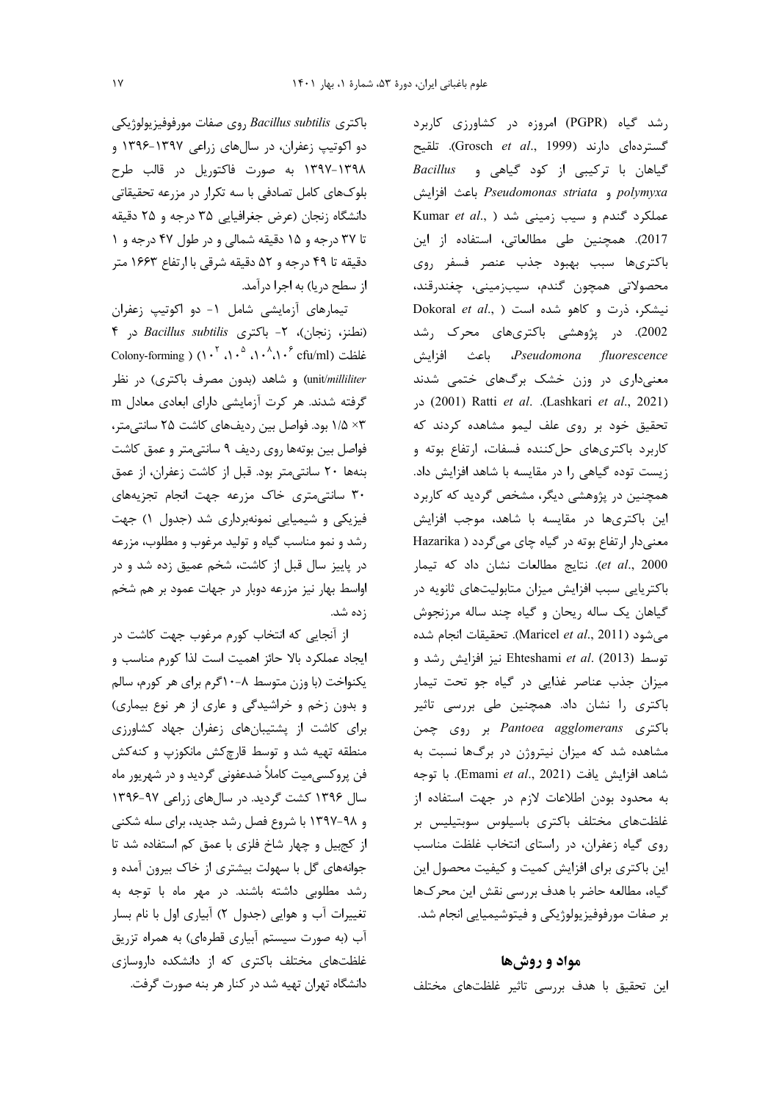$e_1$ باكترى *Bacillus subtilis* روى صفات مورفوفيزيولوژيكى دو اکوتیپ زعفران، در سالهای زراعی ۱۳۹۷-۱۳۹۶ و ۱۳۹۸–۱۳۹۷ به صورت فاکتوریل در قالب طرح بلوکهای کامل تصادفی با سه تکرار در مزرعه تحقیقاتی دانشگاه زنجان (عرض جغرافیایی ۳۵ درجه و ۲۵ دقیقه تا ٣٧ درجه و ١٥ دقيقه شمالي و در طول ۴٧ درجه و ١ دقیقه تا ۴۹ درجه و ۵۲ دقیقه شرقی با ارتفاع ۱۶۶۳ متر از سطح دریا) به اجرا درآمد.

تیمارهای آزمایشی شامل ١- دو اکوتیپ زعفران (نطنز، زنجان)، ۲- باكترى Bacillus subtilis در ۴ Colony-forming )  $(1 \cdot \nabla \cdot \nabla \cdot \nabla \cdot \nabla \cdot \nabla \cdot \nabla \cdot \nabla \cdot \nabla \cdot \nabla \cdot \nabla \cdot \nabla \cdot \nabla \cdot \nabla \cdot \nabla \cdot \nabla \cdot \nabla \cdot \nabla \cdot \nabla \cdot \nabla \cdot \nabla \cdot \nabla \cdot \nabla \cdot \nabla \cdot \nabla \cdot \nabla \cdot \nabla \cdot \nabla \cdot \nabla \cdot \nabla \cdot \nabla \cdot \nabla \cdot \nabla \cdot \nabla \cdot$ unit/*milliliter*) و شاهد (بدون مصرف باکتری) در نظر گرفته شدند. هر كرت آزمايشي داراي ابعادي معادل m ۰۳ ۱/۵ بود. فواصل بین ردیفهای کاشت ۲۵ سانتی متر، فواصل بین بوتهها روی ردیف ۹ سانتی متر و عمق کاشت بنهها ٢٠ سانتي متر بود. قبل از كاشت زعفران، از عمق ۳۰ سانتی متری خاک مزرعه جهت انجام تجزیههای فیزیکی و شیمیایی نمونهبرداری شد (جدول ۱) جهت رشد و نمو مناسب گیاه و تولید مرغوب و مطلوب، مزرعه در پاییز سال قبل از کاشت، شخم عمیق زده شد و در اواسط بهار نیز مزرعه دوبار در جهات عمود بر هم شخم ;ده شد.

از آنجایی که انتخاب کورم مرغوب جهت کاشت در ایجاد عملکرد بالا حائز اهمیت است لذا کورم مناسب و یکنواخت (با وزن متوسط ۸-۱۰گرم برای هر کورم، سالم و بدون زخم و خراشیدگی و عاری از هر نوع بیماری) برای کاشت از پشتیبانهای زعفران جهاد کشاورزی منطقه تهیه شد و توسط قارچکش مانکوزپ و کنهکش فن پروکسی،میت کاملاً ضدعفونی گردید و در شهریور ماه سال ۱۳۹۶ کشت گردید. در سالهای زراعی ۹۷-۱۳۹۶ و ۹۸-۱۳۹۷ با شروع فصل رشد جدید، برای سله شکنی از کجبیل و چهار شاخ فلزی با عمق کم استفاده شد تا جوانههای گل با سهولت بیشتری از خاک بیرون آمده و رشد مطلوبی داشته باشند. در مهر ماه با توجه به تغییرات آب و هوایی (جدول ٢) آبیاری اول با نام بسار آب (به صورت سیستم آبیاری قطرهای) به همراه تزریق غلظتهای مختلف باکتری که از دانشکده داروسازی دانشگاه تهران تهیه شد در کنار هر بنه صورت گرفت.

رشد گیاه (PGPR) امروزه در کشاورزی کاربرد گستردهای دارند (Grosch et al., 1999). تلقیح Bacillus و عياهي و Bacillus polymyxa و Pseudomonas striata باعث افزايش Kumar et al., ) عملکرد گندم و سیب زمینی شد 2017). همچنین طی مطالعاتی، استفاده از این باكترىها سبب بهبود جذب عنصر فسفر روى محصولاتي همچون گندم، سيبزميني، چغندرقند، Dokoral et al., ) نیشکر، ذرت و کاهو شده است 2002). در پژوهشی باکتریهای محرک رشد Pseudomona fluorescence. باعث افزايش معنیداری در وزن خشک برگهای ختمی شدند در (Lashkari et al., 2021). Ratti et al. (Lashkari et al., 2021) تحقیق خود بر روی علف لیمو مشاهده کردند که كاربرد باكترىهاى حل كننده فسفات، ارتفاع بوته و زیست توده گیاهی را در مقایسه با شاهد افزایش داد. همچنین در پژوهشی دیگر، مشخص گردید که کاربرد این باکتریها در مقایسه با شاهد، موجب افزایش معنیدار ارتفاع بوته در گیاه چای میگردد ( Hazarika et al., 2000). نتايج مطالعات نشان داد كه تيمار باکتریایی سبب افزایش میزان متابولیتهای ثانویه در گیاهان یک ساله ریحان و گیاه چند ساله مرزنجوش مي شود (Maricel et al., 2011). تحقيقات انجام شده توسط (Ehteshami et al. (2013 نيز افزايش رشد و میزان جذب عناصر غذایی در گیاه جو تحت تیمار باکتری را نشان داد. همچنین طی بررسی تاثیر باکتری Pantoea agglomerans بر روی چمن مشاهده شد که میزان نیتروژن در برگها نسبت به شاهد افزايش يافت (Emami et al., 2021). با توجه به محدود بودن اطلاعات لازم در جهت استفاده از غلظتهای مختلف باکتری باسیلوس سوبتیلیس بر روی گیاه زعفران، در راستای انتخاب غلظت مناسب این باکتری برای افزایش کمیت و کیفیت محصول این گیاه، مطالعه حاضر با هدف بررسی نقش این محرکها بر صفات مورفوفيزيولوژيكي و فيتوشيميايي انجام شد.

#### مواد و روش ها

این تحقیق با هدف بررسی تاثیر غلظتهای مختلف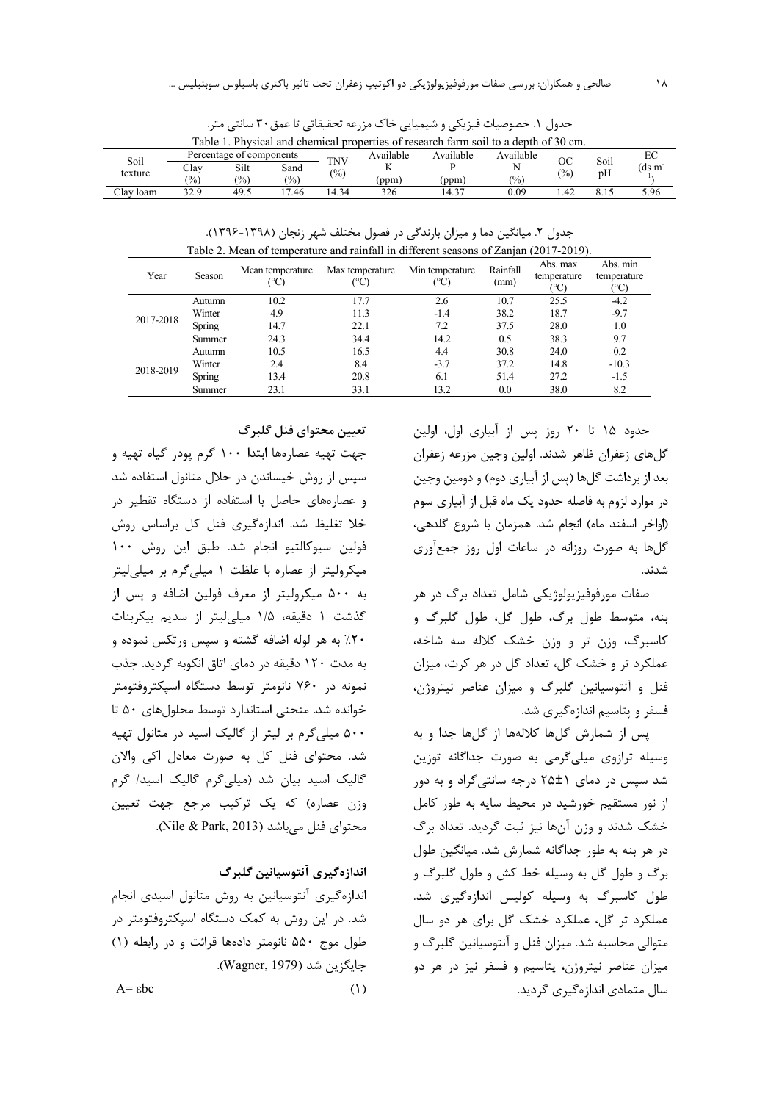| Table 1. Physical and chemical properties of research farm soil to a depth of 30 cm. |                |                          |      |               |           |           |               |               |      |       |
|--------------------------------------------------------------------------------------|----------------|--------------------------|------|---------------|-----------|-----------|---------------|---------------|------|-------|
| Soil                                                                                 |                | Percentage of components |      | TNV           | Available | Available | Available     | OC            | Soil | EС    |
|                                                                                      | Clay           | Silt                     | Sand | $\frac{1}{2}$ |           |           | N             | $\frac{1}{2}$ | pH   | (ds m |
| texture                                                                              | $\frac{10}{6}$ | $\frac{1}{2}$            | (%)  |               | (ppm)     | (ppm)     | $\frac{1}{2}$ |               |      |       |
| Clav loam                                                                            | 22 Q           | 49.5                     | .46  | 14.34         | 326       | 14.37     | 0.09          | .42           |      | 5.96  |

جدول ١. خصوصيات فيزيكي و شيميايي خاك مزرعه تحقيقاتي تا عمق٣٠ سانتي متر.

جدول ۲. میانگین دما و میزان بارندگی در فصول مختلف شهر زنجان (۱۳۹۸-۱۳۹۶). Table 2. Mean of temperature and rainfall in different seasons of Zanjan (2017-2019).

| Year      | Season | Mean temperature | Max temperature | Min temperature<br>$(^\circ C)$ | Rainfall<br>(mm) | Abs. max<br>temperature<br>°C | Abs. min<br>temperature<br>∣°C |
|-----------|--------|------------------|-----------------|---------------------------------|------------------|-------------------------------|--------------------------------|
|           | Autumn | 10.2             | 17.7            | 2.6                             | 10.7             | 25.5                          | $-4.2$                         |
|           | Winter | 4.9              | 11.3            | $-1.4$                          | 38.2             | 18.7                          | -9.7                           |
| 2017-2018 | Spring | 14.7             | 22.1            | 7.2                             | 37.5             | 28.0                          | 1.0                            |
|           | Summer | 24.3             | 34.4            | 14.2                            | 0.5              | 38.3                          | 9.7                            |
|           | Autumn | 10.5             | 16.5            | 4.4                             | 30.8             | 24.0                          | 0.2                            |
| 2018-2019 | Winter | 2.4              | 8.4             | $-3.7$                          | 37.2             | 14.8                          | $-10.3$                        |
|           | Spring | 13.4             | 20.8            | 6.1                             | 51.4             | 27.2                          | -1.5                           |
|           | Summer | 23.1             | 33.1            | 13.2                            | 0.0              | 38.0                          | 8.2                            |

حدود ۱۵ تا ۲۰ روز پس از آبیاری اول، اولین گلهای زعفران ظاهر شدند. اولین وجین مزرعه زعفران بعد از برداشت گلها (پس از آبیاری دوم) و دومین وجین در موارد لزوم به فاصله حدود یک ماه قبل از آبیاری سوم (اواخر اسفند ماه) انجام شد. همزمان با شروع گلدهی، گلها به صورت روزانه در ساعات اول روز جمعآوری شدند.

صفات مورفوفيزيولوژيکي شامل تعداد برگ در هر بنه، متوسط طول برگ، طول گل، طول گلبرگ و کاسبرگ، وزن تر و وزن خشک کلاله سه شاخه، عملکرد تر و خشک گل، تعداد گل در هر کرت، میزان فنل و آنتوسیانین گلبرگ و میزان عناصر نیتروژن، فسفر و پتاسیم اندازهگیری شد.

يس از شمارش گلها كلالهها از گلها جدا و به وسیله ترازوی میلیگرمی به صورت جداگانه توزین شد سیس در دمای ۲۵±۲ درجه سانتی گراد و به دور از نور مستقیم خورشید در محیط سایه به طور کامل خشک شدند و وزن آنها نیز ثبت گردید. تعداد برگ در هر بنه به طور جداگانه شمارش شد. میانگین طول برگ و طول گل به وسیله خط کش و طول گلبرگ و طول کاسبرگ به وسیله کولیس اندازهگیری شد. عملکرد تر گل، عملکرد خشک گل برای هر دو سال متوالي محاسبه شد. ميزان فنل و آنتوسيانين گلبرگ و میزان عناصر نیتروژن، پتاسیم و فسفر نیز در هر دو سال متمادی اندازهگیری گردید.

### تعيين محتواي فنل گلبرگ

جهت تهيه عصارهها ابتدا ١٠٠ گرم پودر گياه تهيه و سپس از روش خیساندن در حلال متانول استفاده شد و عصارههای حاصل با استفاده از دستگاه تقطیر در خلا تغلیظ شد. اندازهگیری فنل کل براساس روش فولين سيوكالتيو انجام شد. طبق اين روش ١٠٠ میکرولیتر از عصاره با غلظت ۱ میلیگرم بر میلیلیتر به ۵۰۰ میکرولیتر از معرف فولین اضافه و پس از گذشت ١ دقيقه، ١/٥ ميليليتر از سديم بيكربنات ۲۰٪ به هر لوله اضافه گشته و سپس ورتکس نموده و به مدت ۱۲۰ دقیقه در دمای اتاق انکوبه گردید. جذب نمونه در ۷۶۰ نانومتر توسط دستگاه اسپکتروفتومتر خوانده شد. منحنی استاندارد توسط محلول های ۵۰ تا ۵۰۰ میلیگرم بر لیتر از گالیک اسید در متانول تهیه شد. محتوای فنل کل به صورت معادل اکی والان گالیک اسید بیان شد (میلیگرم گالیک اسید/ گرم وزن عصاره) که یک ترکیب مرجع جهت تعیین محتواي فنل مے باشد (Nile & Park, 2013).

اندازهگیری آنتوسیانین گلبرگ اندازهگیری آنتوسیانین به روش متانول اسیدی انجام شد. در این روش به کمک دستگاه اسپکتروفتومتر در طول موج ۵۵۰ نانومتر دادهها قرائت و در رابطه (۱) جايگزين شد (Wagner, 1979).  $(1)$ 

 $A = \epsilon bc$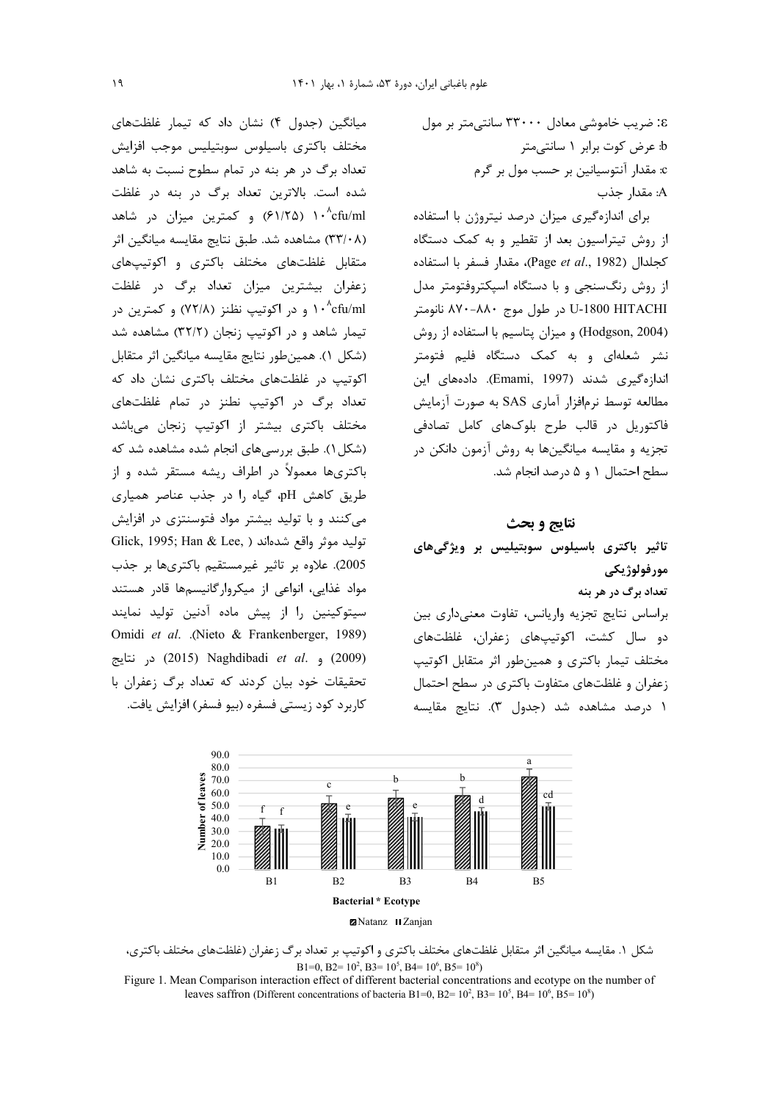میانگین (جدول ۴) نشان داد که تیمار غلظتهای مختلف باكترى باسيلوس سوبتيليس موجب افزايش تعداد برگ در هر بنه در تمام سطوح نسبت به شاهد شده است. بالاترین تعداد برگ در بنه در غلظت ۰٬ cfu/ml) و کمترین میزان در شاهد) (٣٣/٠٨) مشاهده شد. طبق نتايج مقايسه ميانگين اثر متقابل غلظتهای مختلف باکتری و اکوتیپهای زعفران بیشترین میزان تعداد برگ در غلظت ۱۰<sup>, ۸</sup>cfu/ml و در اکوتیپ نظنز (۷۲/۸) و کمترین در تیمار شاهد و در اکوتیپ زنجان (۳۲/۲) مشاهده شد (شكل ١). همين طور نتايج مقايسه ميانگين اثر متقابل اکوتیپ در غلظتهای مختلف باکتری نشان داد که تعداد برگ در اکوتیپ نطنز در تمام غلظتهای مختلف باكترى بيشتر از اكوتيپ زنجان مىباشد (شکل ۱). طبق بررسیهای انجام شده مشاهده شد که باکتریها معمولاً در اطراف ریشه مستقر شده و از طریق کاهش pH، گیاه را در جذب عناصر همیاری می کنند و با تولید بیشتر مواد فتوسنتزی در افزایش Glick, 1995; Han & Lee, ) توليد موثر واقع شدهاند 2005). علاوه بر تاثیر غیرمستقیم باکتریها بر جذب مواد غذایی، انواعی از میکروارگانیسمها قادر هستند سیتوکینین را از پیش ماده آدنین تولید نمایند Omidi et al. .(Nieto & Frankenberger, 1989) در نتايج (2009) و .2015 (2015) در نتايج تحقیقات خود بیان کردند که تعداد برگ زعفران با كاربرد كود زيستي فسفره (بيو فسفر) افزايش يافت. 8: ضریب خاموشی معادل ۳۳۰۰۰ سانتی متر بر مول b: عرض كوت برابر ١ سانتي متر c: مقدار آنتوسیانین بر حسب مول بر گرم A: مقدار جذب

برای اندازهگیری میزان درصد نیتروژن با استفاده از روش تیتراسیون بعد از تقطیر و به کمک دستگاه كجلدال (Page et al., 1982)، مقدار فسفر با استفاده از روش رنگسنجی و با دستگاه اسیکتروفتومتر مدل U-1800 HITACHI در طول موج ۸۸۰-۸۷۰ نانومتر (Hodgson, 2004) و میزان پتاسیم با استفاده از روش نشر شعلهای و به کمک دستگاه فلیم فتومتر اندازهگیری شدند (Emami, 1997). دادههای این مطالعه توسط نرمافزار آماری SAS به صورت آزمایش فاکتوریل در قالب طرح بلوکهای کامل تصادفی تجزیه و مقایسه میانگینها به روش آزمون دانکن در سطح احتمال ١ و ۵ درصد انجام شد.

# نتايج و بحث

تاثیر باکتری باسیلوس سوبتیلیس بر ویژگیهای مورفولوژيکي تعداد برگ در هر بنه براساس نتايج تجزيه واريانس، تفاوت معنى دارى بين دو سال کشت، اکوتیپهای زعفران، غلظتهای مختلف تیمار باکتری و همینطور اثر متقابل اکوتیپ زعفران و غلظتهای متفاوت باکتری در سطح احتمال ١ درصد مشاهده شد (جدول ٣). نتايج مقايسه



شکل ۱. مقایسه میانگین اثر متقابل غلظتهای مختلف باکتری و اکوتیپ بر تعداد برگ زعفران (غلظتهای مختلف باکتری، B1=0, B2=  $10^2$ , B3=  $10^5$ , B4=  $10^6$ , B5=  $10^8$ )

Figure 1. Mean Comparison interaction effect of different bacterial concentrations and ecotype on the number of leaves saffron (Different concentrations of bacteria B1=0, B2=  $10^2$ , B3=  $10^5$ , B4=  $10^6$ , B5=  $10^8$ )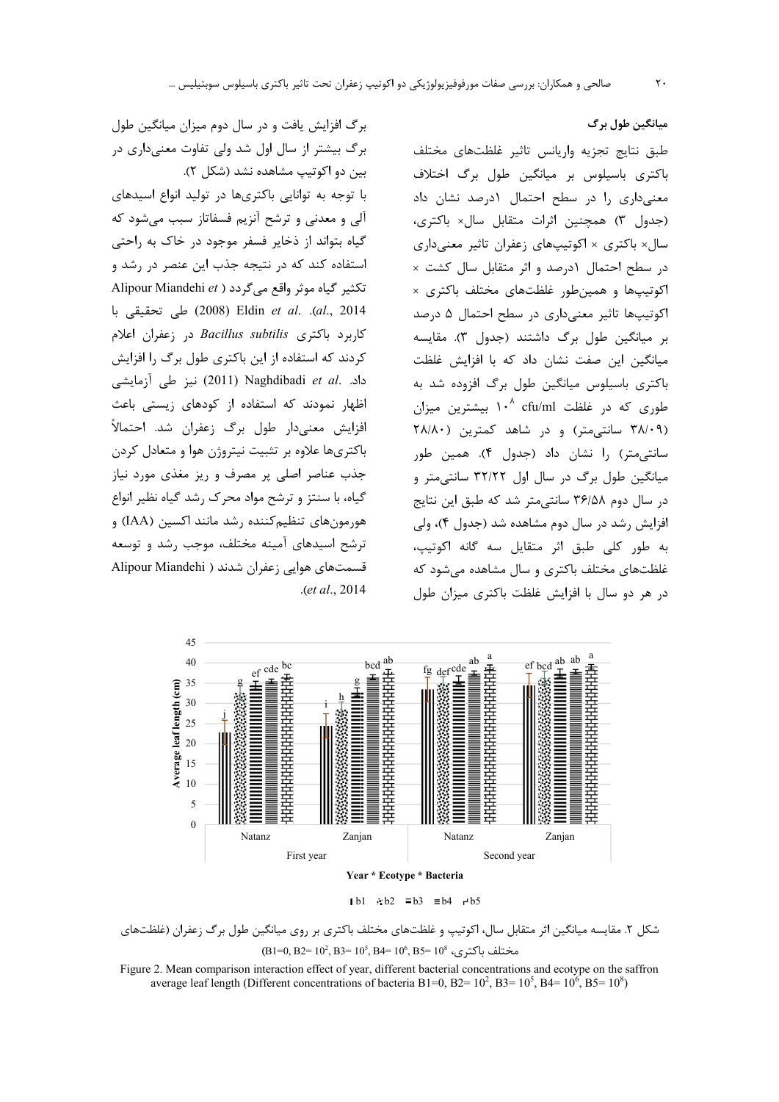برگ افزایش یافت و در سال دوم میزان میانگین طول برگ بیشتر از سال اول شد ولی تفاوت معنیداری در بین دو اکوتیپ مشاهده نشد (شکل ۲). با توجه به توانایی باکتریها در تولید انواع اسیدهای آلی و معدنی و ترشح آنزیم فسفاتاز سبب میشود که گیاه بتواند از ذخایر فسفر موجود در خاک به راحتی استفاده کند که در نتیجه جذب این عنصر در رشد و Alipour Miandehi et ) تکثیر گیاه موثر واقع می گردد al., 2014). .Eldin et al. (2008) طي تحقيقي با كاربرد باكترى Bacillus subtilis در زعفران اعلام کردند که استفاده از این باکتری طول برگ را افزایش داد. .Naghdibadi et al (2011) نيز طي آزمايشي اظهار نمودند که استفاده از کودهای زیستی باعث افزایش معنیدار طول برگ زعفران شد. احتمالاً باکتریها علاوه بر تثبیت نیتروژن هوا و متعادل کردن جذب عناصر اصلی پر مصرف و ریز مغذی مورد نیاز گیاه، با سنتز و ترشح مواد محرک رشد گیاه نظیر انواع هورمونهای تنظیم کننده رشد مانند اکسین (IAA) و ترشح اسیدهای آمینه مختلف، موجب رشد و توسعه قسمتهای هوایی زعفران شدند ( Alipour Miandehi

طبق نتايج تجزيه واريانس تاثير غلظتهاى مختلف باکتری باسیلوس بر میانگین طول برگ اختلاف معنى دارى را در سطح احتمال ١درصد نشان داد (جدول ٣) همچنين اثرات متقابل سال× باكترى، سال× باکتری × اکوتیپهای زعفران تاثیر معنیداری در سطح احتمال ١درصد و اثر متقابل سال كشت × اکوتیپها و همین طور غلظتهای مختلف باکتری × اکوتیپها تاثیر معنیداری در سطح احتمال ۵ درصد بر میانگین طول برگ داشتند (جدول ٣). مقایسه میانگین این صفت نشان داد که با افزایش غلظت باکتری باسیلوس میانگین طول برگ افزوده شد به طوری که در غلظت ۱۰<sup>۸</sup> cfu/ml بیشترین میزان (۳۸/۰۹ سانتی متر) و در شاهد کمترین (۲۸/۸۰ سانتے،متر) را نشان داد (جدول ۴). همین طور میانگین طول برگ در سال اول ۳۲/۲۲ سانتی متر و در سال دوم ۳۶/۵۸ سانتی متر شد که طبق این نتایج افزایش رشد در سال دوم مشاهده شد (جدول ۴)، ولی به طور كلي طبق اثر متقايل سه گانه اكوتيپ، غلظتهای مختلف باکتری و سال مشاهده می شود که در هر دو سال با افزایش غلظت باکتری میزان طول



.(et al., 2014

 $1 b1$   $b2 \equiv b3 \equiv b4 \equiv b5$ 

شکل ۲. مقایسه میانگین اثر متقابل سال، اکوتیپ و غلظتهای مختلف باکتری بر روی میانگین طول برگ زعفران (غلظتهای  $(B1=0, B2=10^2, B3=10^5, B4=10^6, B5=10^8, A2=10^8)$  مختلف باكترى،

Figure 2. Mean comparison interaction effect of year, different bacterial concentrations and ecotype on the saffron average leaf length (Different concentrations of bacteria B1=0, B2=  $10^2$ , B3=  $10^5$ , B4=  $10^6$ , B5=  $10^8$ )

میانگین طول برگ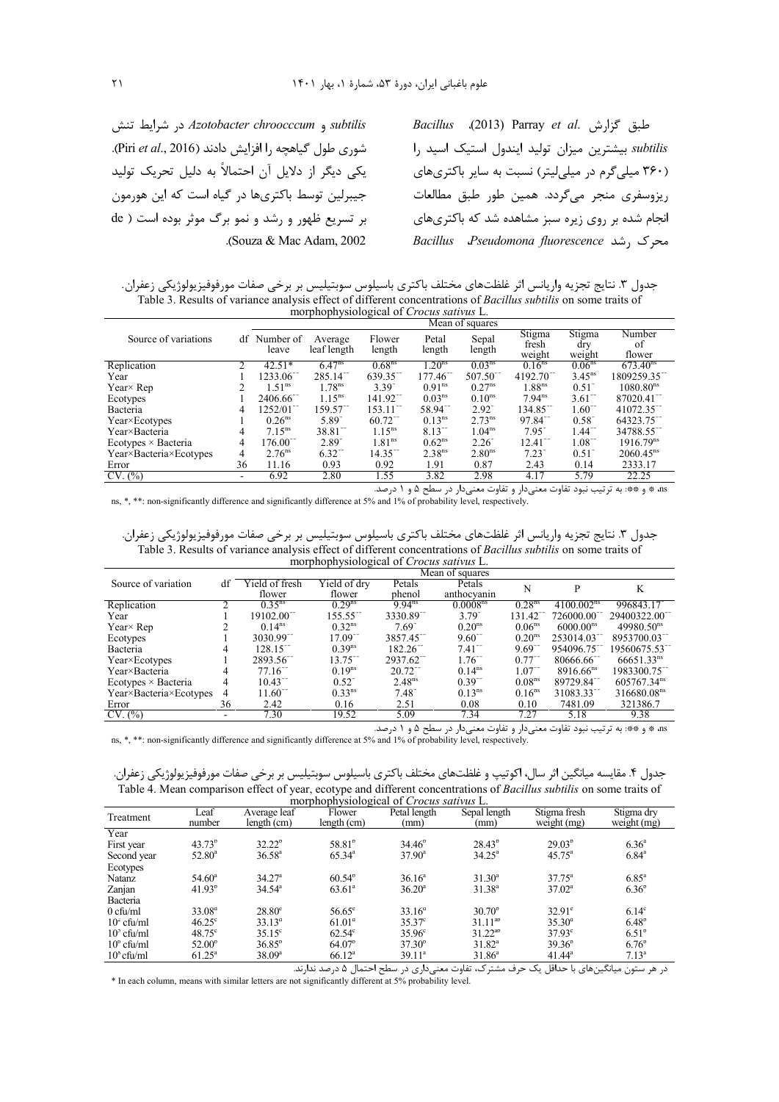subtilis و Azotobacter chroocccum در شرايط تنش شوری طول گیاهچه را افزایش دادند (Piri et al., 2016). یکی دیگر از دلایل آن احتمالاً به دلیل تحریک تولید جیبرلین توسط باکتریها در گیاه است که این هورمون بر تسریع ظهور و رشد و نمو برگ موثر بوده است ( de .(Souza & Mac Adam, 2002)

Bacillus (2013) Parray et al. حلبق گزارش subtilis بیشترین میزان تولید ایندول استیک اسید را (۳۶۰ میلی گرم در میلی لیتر) نسبت به سایر باکتریهای .<br>ريزوسفري منجر مي گردد. همين طور طبق مطالعات انجام شده بر روی زیره سبز مشاهده شد که باکتریهای Bacillus Pseudomona fluorescence , شد exe

جدول ۳. نتایج تجزیه واریانس اثر غلظتهای مختلف باکتری باسیلوس سوبتیلیس بر برخی صفات مورفوفیزیولوژیکی زعفران.<br>Table 3. Results of variance analysis effect of different concentrations of *Bacillus subtilis* on some traits of morphophysiological of Crocus sativus L.

|                               |    |                         |                        |                        |                        | Mean of squares        |                           |                         |                        |
|-------------------------------|----|-------------------------|------------------------|------------------------|------------------------|------------------------|---------------------------|-------------------------|------------------------|
| Source of variations          | df | Number of<br>leave      | Average<br>leaf length | Flower<br>length       | Petal<br>length        | Sepal<br>length        | Stigma<br>fresh<br>weight | Stigma<br>drv<br>weight | Number<br>of<br>flower |
| Replication                   |    | $42.51*$                | $6.47^{ns}$            | 0.68 <sup>ns</sup>     | .20 <sup>ns</sup>      | 0.03 <sup>ns</sup>     | $0.16^{ns}$               | 0.06 <sup>ns</sup>      | $673.40^{\text{ns}}$   |
| Year                          |    | $1233.06$ <sup>**</sup> | $285.14$ <sup>**</sup> | $639.35$ <sup>**</sup> | $177.46$ <sup>**</sup> | $507.50$ <sup>**</sup> | 4192.70                   | $3.45^{ns}$             | 1809259.35             |
| $Year \times Rep$             |    | $1.51^{\text{ns}}$      | 1.78 <sup>ns</sup>     | 3.39                   | 0.91 <sup>ns</sup>     | $0.27^{ns}$            | 1.88 <sup>ns</sup>        | 0.51                    | 1080.80 <sup>ns</sup>  |
| Ecotypes                      |    | 2406.66 <sup>**</sup>   | $1.15^{ns}$            | $141.92$ <sup>**</sup> | 0.03 <sup>ns</sup>     | 0.10 <sup>ns</sup>     | $7.94^{ns}$               | $3.61$ <sup>**</sup>    | 87020.41"              |
| Bacteria                      | 4  | 1252/01                 | 159.57                 | $153.11^{-}$           | 58.94                  | $2.92^{\degree}$       | $134.85^{\circ}$          | $1.60^{\circ}$          | 41072.35               |
| Year×Ecotypes                 |    | $0.26$ <sup>ns</sup>    | 5.89                   | $60.72$ <sup>**</sup>  | 0.13 <sup>ns</sup>     | 2.73 <sup>ns</sup>     | $97.84$ <sup>**</sup>     | $0.58^{\circ}$          | 64323.75               |
| Year×Bacteria                 | 4  | $7.15^{ns}$             | 38.81**                | $1.15^{ns}$            | $8.13^{11}$            | 1.04 <sup>ns</sup>     | $7.95^{\circ}$            | $1.44$ <sup>**</sup>    | 34788.55**             |
| $E$ cotypes $\times$ Bacteria | 4  | $176.00^{\circ}$        | $2.89^{^{\circ}}$      | 1.81 <sup>ns</sup>     | $0.62^{ns}$            | 2.26                   | $12.41^{\circ}$           | $1.08^{\degree}$        | 1916.79 <sup>ns</sup>  |
| Year×Bacteria×Ecotypes        | 4  | 2.76 <sup>ns</sup>      | $6.32$ <sup>**</sup>   | $14.35$ <sup>**</sup>  | 2.38 <sup>ns</sup>     | 2.80 <sup>ns</sup>     | $7.23^{\degree}$          | $0.51^{\circ}$          | $2060.45^{ns}$         |
| Error                         | 36 | 11.16                   | 0.93                   | 0.92                   | 1.91                   | 0.87                   | 2.43                      | 0.14                    | 2333.17                |
| CV. (%)                       |    | 6.92                    | 2.80                   | 1.55                   | 3.82                   | 2.98                   | 4.17                      | 5.79                    | 22.25                  |

as \* و \*\*: به ترتیب نبود تفاوت معنیدار و تفاوت معنیدار در سطح ۵ و ۱ درصد. ns, \*, \*\*: non-significantly difference and significantly difference at 5% and 1% of probability level, respectively.

جدول ٣. نتايج تجزيه واريانس اثر غلظتهاى مختلف باكترى باسيلوس سوبتيليس بر برخى صفات مورفوفيزيولوژيكى زعفران. Table 3. Results of variance analysis effect of different concentrations of *Bacillus subtilis* on some traits of morphophysiological of Crocus sativus L

|                            |    | Mean of squares          |                        |                        |                      |                      |                           |                         |
|----------------------------|----|--------------------------|------------------------|------------------------|----------------------|----------------------|---------------------------|-------------------------|
| Source of variation        | df | Yield of fresh           | Yield of dry           | Petals                 | Petals               | N                    | P                         | K                       |
|                            |    | flower                   | flower                 | phenol                 | anthocyanin          |                      |                           |                         |
| Replication                |    | $0.35^{\text{ns}}$       | 0.29 <sup>ns</sup>     | $9.94^{ns}$            | 0.0008 <sup>ns</sup> | 0.28 <sup>ns</sup>   | 4100.002 <sup>ns</sup>    | 996843.17               |
| Year                       |    | $19102.00$ <sup>**</sup> | $155.55$ <sup>**</sup> | 3330.89                | $3.79^{^{\circ}}$    | 131.42 $\degree$     | 726000.00                 | 29400322.00             |
| Year $\times$ Rep          |    | $0.14^{ns}$              | $0.32^{ns}$            | $7.69^{^{6}}$          | 0.20 <sup>ns</sup>   | 0.06 <sup>ns</sup>   | 6000.00 <sup>ns</sup>     | 49980.50 <sup>ns</sup>  |
| Ecotypes                   |    | $3030.99$ <sup>**</sup>  | $17.09$ <sup>**</sup>  | 3857.45 <sup>**</sup>  | $9.60$ <sup>**</sup> | 0.20 <sup>ns</sup>   | $253014.03$ <sup>**</sup> | 8953700.03              |
| Bacteria                   |    | $128.15^{**}$            | $0.39^{ns}$            | $182.26$ <sup>**</sup> | $7.41$ <sup>**</sup> | $9.69$ <sup>**</sup> | 954096.75 <sup>**</sup>   | 19560675.53             |
| Year×Ecotypes              |    | 2893.56                  | 13.75                  | 2937.62                | $1.76^{+}$           | 0.77                 | 80666.66                  | $66651.33^{ns}$         |
| Year×Bacteria              |    | $77.16$ <sup>**</sup>    | $0.19^{ns}$            | $20.72$ <sup>**</sup>  | 0.14 <sup>ns</sup>   | $1.07$ <sup>**</sup> | $8916.66^{ns}$            | 1983300.75              |
| Ecotypes $\times$ Bacteria | 4  | $10.43$ <sup>-1</sup>    | $0.52^{\degree}$       | 2.48 <sup>ns</sup>     | $0.39^{-7}$          | 0.08 <sup>ns</sup>   | 89729.84                  | 605767.34 <sup>ns</sup> |
| Year×Bacteria×Ecotypes     | 4  | $11.60$ <sup>**</sup>    | 0.33 <sup>ns</sup>     | $7.48^{\circ}$         | $0.13^{ns}$          | $0.16^{ns}$          | 31083.33                  | 316680.08 <sup>ns</sup> |
| Error                      | 36 | 2.42                     | 0.16                   | 2.51                   | 0.08                 | 0.10                 | 7481.09                   | 321386.7                |
| CV. (%)                    |    | 7.30                     | 19.52                  | 5.09                   | 7.34                 | 7.27                 | 5.18                      | 9.38                    |

as \* و \*\*: به ترتیب نبود تفاوت معنیدار و تفاوت معنیدار در سطح ۵ و ۱ درصد.

ns, \*, \*\*: non-significantly difference and significantly difference at 5% and 1% of probability level, respectively.

جدول ۴. مقایسه میانگین اثر سال، اکوتیپ و غلظتهای مختلف باکتری باسیلوس سوبتیلیس بر برخی صفات مورفوفیزیولوژیکی زعفران. Table 4. Mean comparison effect of year, ecotype and different concentrations of Bacillus subtilis on some traits of

| Treatment           | Leaf<br>number     | Average leaf<br>length (cm) | Flower<br>length (cm) | morphophysiological of Crocus sullvus L.<br>Petal length<br>(mm) | Sepal length<br>(mm) | Stigma fresh<br>weight (mg) | Stigma dry<br>weight (mg) |
|---------------------|--------------------|-----------------------------|-----------------------|------------------------------------------------------------------|----------------------|-----------------------------|---------------------------|
| Year                |                    |                             |                       |                                                                  |                      |                             |                           |
| First year          | $43.73^b$          | $32.22^b$                   | 58.81 <sup>b</sup>    | $34.46^{\circ}$                                                  | $28.43^{\circ}$      | $29.03^{b}$                 | 6.36 <sup>a</sup>         |
| Second year         | $52.80^{\circ}$    | $36.58^{\circ}$             | $65.34^{\circ}$       | $37.90^{\circ}$                                                  | $34.25^{\circ}$      | $45.75^{\circ}$             | $6.84^{\circ}$            |
| Ecotypes            |                    |                             |                       |                                                                  |                      |                             |                           |
| Natanz              | $54.60^{\circ}$    | 34.27 <sup>a</sup>          | $60.54^{\circ}$       | 36.16 <sup>a</sup>                                               | $31.30^a$            | $37.75^{\circ}$             | $6.85^{\circ}$            |
| Zanjan              | 41.93 <sup>b</sup> | $34.54^{\circ}$             | $63.61^{\circ}$       | $36.20^{\circ}$                                                  | $31.38^{a}$          | $37.02^{\circ}$             | $6.36^{\circ}$            |
| Bacteria            |                    |                             |                       |                                                                  |                      |                             |                           |
| $0$ cfu/ml          | $33.08^{\circ}$    | $28.80^\circ$               | $56.65^{\circ}$       | $33.16^{\circ}$                                                  | $30.70^{\circ}$      | $32.91^{\circ}$             | 6.14 <sup>c</sup>         |
| $102$ cfu/ml        | $46.25^{\circ}$    | $33.13^{\circ}$             | $61.01^{\circ}$       | $35.37^{\circ}$                                                  | $31.11^{ab}$         | $35.30^{\circ}$             | $6.48^{\circ}$            |
| $10^{\circ}$ cfu/ml | $48.75^{\circ}$    | $35.15^{\circ}$             | $62.54^\circ$         | $35.96^\circ$                                                    | $31.22^{ab}$         | $37.93^{\circ}$             | $6.51^{\circ}$            |
| $10^{\circ}$ cfu/ml | $52.00^{\circ}$    | $36.85^{b}$                 | $64.07^{\circ}$       | $37.30^{\circ}$                                                  | $31.82^a$            | $39.36^{\circ}$             | $6.76^{\circ}$            |
| $10^8$ cfu/ml       | $61.25^{\circ}$    | $38.09^{\rm a}$             | $66.12^a$             | $39.11^a$                                                        | $31.86^a$            | $41.44^a$                   | $7.13^a$                  |

در هر ستون میانگینهای با حداقل یک حرف مشترک، تفاوت معنی داری در سطح احتمال ۵ درصد ندارند. \* In each column, means with similar letters are not significantly different at 5% probability level.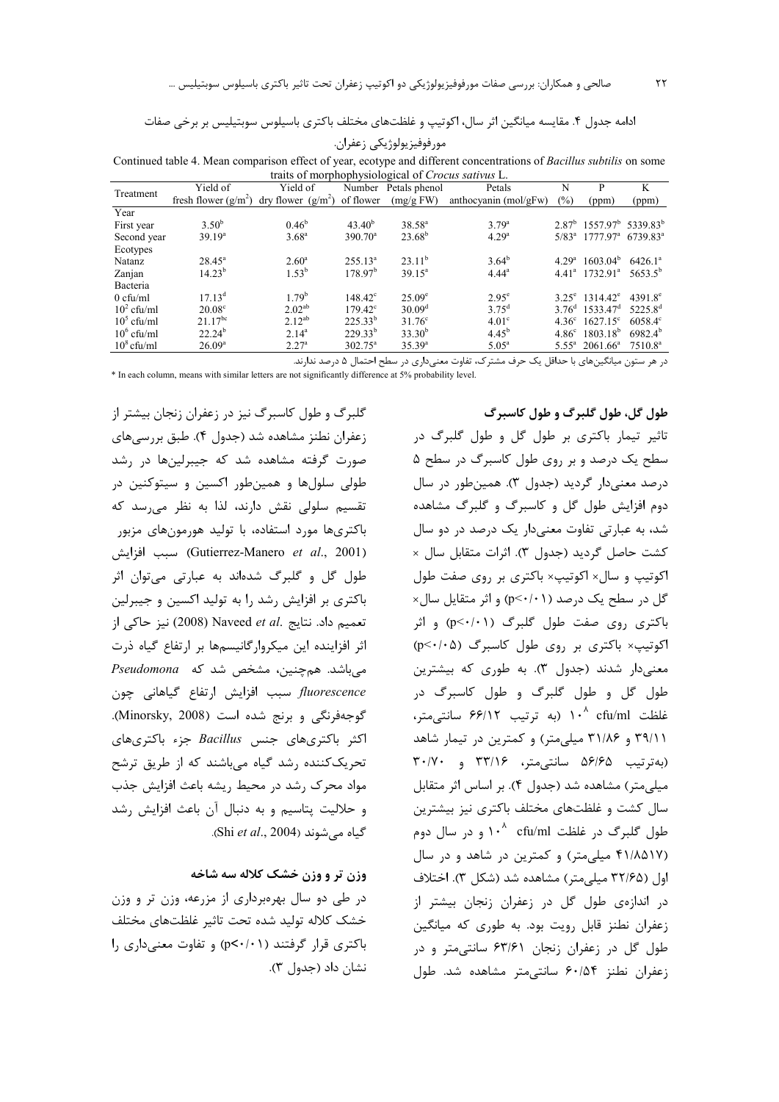ادامه جدول ۴. مقایسه میانگین اثر سال، اکوتیپ و غلظتهای مختلف باکتری باسیلوس سوبتیلیس بر برخی صفات

| مورفوفيزيولوژيكى زعفران. |  |  |
|--------------------------|--|--|
|                          |  |  |

Continued table 4. Mean comparison effect of year, ecotype and different concentrations of Bacillus subtilis on some traits of morphophysiological of Crocus sativus I

|               |                                                       | $r_{\rm{max}}$ or morphophysionogieal of Crocas sale as $E_r$ . |                                    |                          |                       |                |                                                          |                     |
|---------------|-------------------------------------------------------|-----------------------------------------------------------------|------------------------------------|--------------------------|-----------------------|----------------|----------------------------------------------------------|---------------------|
| Treatment     | Yield of                                              | Yield of                                                        |                                    | Number Petals phenol     | Petals                | N              | P                                                        | K                   |
|               | fresh flower $(g/m^2)$ dry flower $(g/m^2)$ of flower |                                                                 |                                    | (mg/gFW)                 | anthocyanin (mol/gFw) | $(\%)$         | (ppm)                                                    | (ppm)               |
| Year          |                                                       |                                                                 |                                    |                          |                       |                |                                                          |                     |
| First year    | $3.50^{b}$                                            | $0.46^{\rm b}$                                                  | 43.40 <sup>b</sup>                 | $38.58^{a}$              | $3.79^{a}$            |                | $2.87^{\rm b}$ 1557.97 <sup>b</sup> 5339.83 <sup>b</sup> |                     |
| Second year   | 39.19 <sup>a</sup>                                    | $3.68^{\rm a}$                                                  | $390.70^{\circ}$                   | $23.68^b$                | 4.29 <sup>a</sup>     |                | $5/83^a$ 1777.97 <sup>a</sup> 6739.83 <sup>a</sup>       |                     |
| Ecotypes      |                                                       |                                                                 |                                    |                          |                       |                |                                                          |                     |
| Natanz        | $28.45^{\circ}$                                       | $2.60^{\circ}$                                                  | $255.13^a$                         | $23.11^b$                | $3.64^b$              | $4.29^{\rm a}$ | $1603.04^b$                                              | 6426.1 <sup>a</sup> |
| Zanjan        | $14.23^{b}$                                           | $1.53^{b}$                                                      | 178.97 <sup>b</sup>                | $39.15^a$                | $4.44^a$              |                | $4.41^a$ 1732.91 <sup>a</sup>                            | $5653.5^{\circ}$    |
| Bacteria      |                                                       |                                                                 |                                    |                          |                       |                |                                                          |                     |
| $0$ cfu/ml    | 17.13 <sup>d</sup>                                    | 1.79 <sup>b</sup>                                               | $148.42^{\circ}$                   | $25.09^{\circ}$          | $2.95^{\circ}$        |                | $3.25^{\circ}$ 1314.42 <sup><math>\circ</math></sup>     | $4391.8^{\circ}$    |
| $10^2$ cfu/ml | $20.08^{\circ}$                                       | $2.02^{ab}$                                                     | $179.42^{\circ}$                   | 30.09 <sup>d</sup>       | $3.75^{\rm d}$        |                | $3.76^{\text{d}}$ 1533.47 <sup>d</sup>                   | 5225.8 <sup>d</sup> |
| $10^5$ cfu/ml | $21.17^{bc}$                                          | $2.12^{ab}$                                                     | $225.33^{b}$                       | $31.76^{\circ}$          | 4.01 <sup>c</sup>     |                | $4.36^{\circ}$ 1627.15°                                  | $6058.4^{\circ}$    |
| $10^6$ cfu/ml | $22.24^{b}$                                           | $2.14^{a}$                                                      | $229.33^{b}$                       | $33.30^{b}$              | $4.45^{b}$            |                | $4.86^{\circ}$ 1803.18 <sup>b</sup>                      | $6982.4^{b}$        |
| $10^8$ cfu/ml | 26.09 <sup>a</sup>                                    | 2.27 <sup>a</sup>                                               | $302.75^{\circ}$                   | $35.39^{a}$              | $5.05^{\circ}$        |                | $5.55^a$ 2061.66 <sup>a</sup>                            | 7510.8 <sup>a</sup> |
|               |                                                       | $\sim$ $\sim$ $\sim$                                            | $\sim$ $\sim$ $\sim$ $\sim$ $\sim$ | $\overline{\phantom{a}}$ | $\cdots$ $\cdots$     |                |                                                          |                     |

در هر ستون میانگینهای با حداقل یک حرف مشترک، تفاوت معنیداری در سطح احتمال ۵ درصد ندارند.

\* In each column, means with similar letters are not significantly difference at 5% probability level.

گلبرگ و طول کاسبرگ نیز در زعفران زنجان بیشتر از زعفران نطنز مشاهده شد (جدول ۴). طبق بررسی های صورت گرفته مشاهده شد که جیبرلینها در رشد طولي سلولها و همين طور اکسين و سيتوکنين در تقسیم سلولی نقش دارند، لذا به نظر می رسد که باکتریها مورد استفاده، با تولید هورمونهای مزبور (Gutierrez-Manero et al., 2001) سبب افزايش طول گل و گلبرگ شدهاند به عبارتی میتوان اثر باکتری بر افزایش رشد را به تولید اکسین و جیبرلین تعميم داد. نتايج .Naveed et al (2008) نيز حاكي از اثر افزاینده این میکروارگانیسمها بر ارتفاع گیاه ذرت میباشد. همچنین، مشخص شد که Pseudomona fluorescence سبب افزایش ارتفاع گیاهانی چون گوجهفرنگی و برنج شده است (Minorsky, 2008). اکثر باکتریهای جنس Bacillus جزء باکتریهای تحریک کننده رشد گیاه میباشند که از طریق ترشح مواد محرک رشد در محیط ریشه باعث افزایش جذب و حلالیت پتاسیم و به دنبال آن باعث افزایش رشد .Shi et al., 2004).

# وزن تر و وزن خشک کلاله سه شاخه

در طی دو سال بهرهبرداری از مزرعه، وزن تر و وزن خشک کلاله تولید شده تحت تاثیر غلظتهای مختلف باکتری قرار گرفتند (p<٠/٠١) و تفاوت معنی داری را نشان داد (جدول ۳).

# طول گل، طول گلبرگ و طول کاسبرگ

تاثیر تیمار باکتری بر طول گل و طول گلبرگ در سطح یک درصد و بر روی طول کاسبرگ در سطح ۵ درصد معنی دار گردید (جدول ۳). همین طور در سال دوم افزایش طول گل و کاسبرگ و گلبرگ مشاهده شد، به عبارتی تفاوت معنیدار یک درصد در دو سال كشت حاصل گرديد (جدول ٣). اثرات متقابل سال × اکوتیپ و سال× اکوتیپ× باکتری بر روی صفت طول گا ، د, سطح یک درصد (p<٠/٠١) و اثر متقایل سال× باکتری <sub>د</sub>وی صفت طول گلبرگ (p<۰/۰۱) و اثر اکوتیپ× باکتری بر روی طول کاسبرگ (p<٠/٠۵) معنی دار شدند (جدول ۳). به طوری که بیشترین طول گل و طول گلبرگ و طول کاسبرگ در  $\frac{1}{2}$ غلظت cfu/ml (به ترتیب ۶۶/۱۲ سانتے متر ۳۹/۱۱ و ۳۱/۸۶ میلی متر) و کمترین در تیمار شاهد (به ترتیب ۵۶/۶۵ سانتی متر، ۳۳/۱۶ و ۳۰/۷۰ میلی متر) مشاهده شد (جدول ۴). بر اساس اثر متقابل سال کشت و غلظتهای مختلف باکتری نیز بیشترین طول گلبرگ در غلظت cfu/ml 1.0 و در سال دوم (۴۱/۸۵۱۷ میلی متر) و کمترین در شاهد و در سال اول (۳۲/۶۵ میلی متر) مشاهده شد (شکل ۳). اختلاف در اندازهی طول گل در زعفران زنجان بیشتر از زعفران نطنز قابل رویت بود. به طوری که میانگین طول گل در زعفران زنجان ۶۳/۶۱ سانتی متر و در زعفران نطنز ۶۰/۵۴ سانتی متر مشاهده شد. طول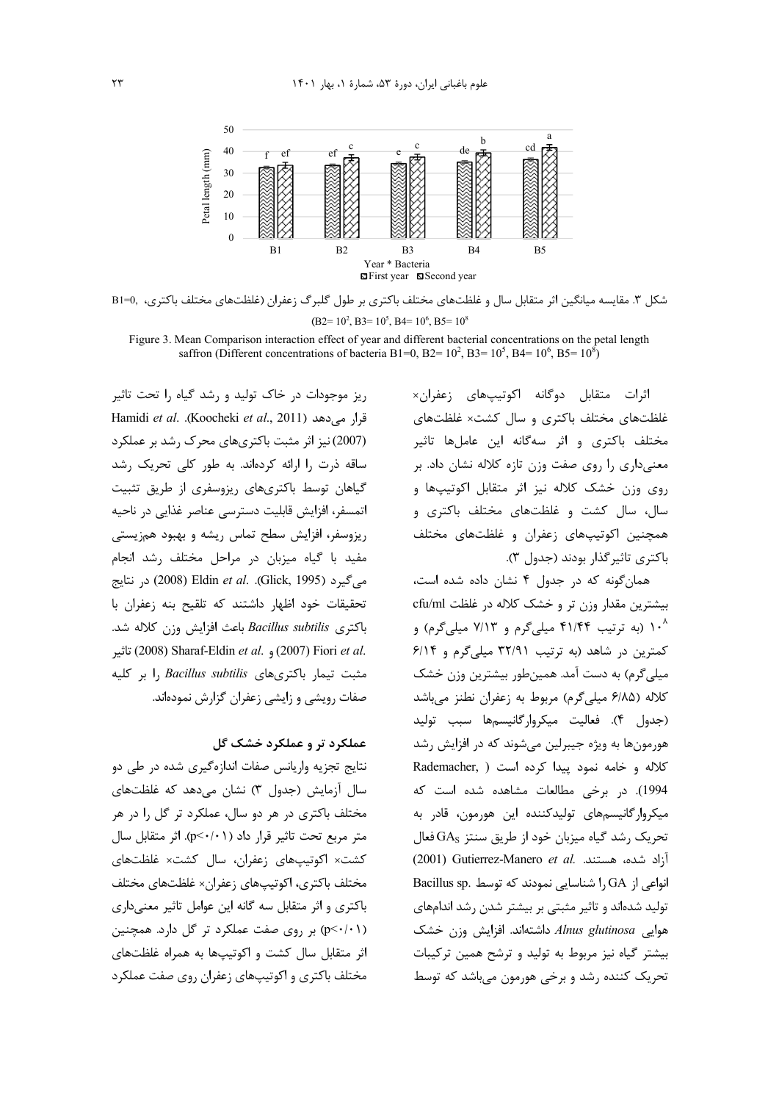

B1=0, ، مقايسه ميانگين اثر متقابل سال و غلظتهاى مختلف باكترى بر طول گلبرگ زعفران (غلظتهاى مختلف باكترى،  $(B2=10^2, B3=10^5, B4=10^6, B5=10^8)$ 

Figure 3. Mean Comparison interaction effect of year and different bacterial concentrations on the petal length saffron (Different concentrations of bacteria B1=0, B2=  $10^2$ , B3=  $10^5$ , B4=  $10^6$ , B5=  $10^8$ )

> اثرات متقابل دوگانه اکوتیپهای زعفران× غلظتهای مختلف باکتری و سال کشت× غلظتهای مختلف باکتری و اثر سهگانه این عاملها تاثیر معنی داری را روی صفت وزن تازه کلاله نشان داد. بر روی وزن خشک کلاله نیز اثر متقابل اکوتیپها و سال، سال کشت و غلظتهای مختلف باکتری و همچنین اکوتیپهای زعفران و غلظتهای مختلف باكترى تاثير گذار بودند (جدول ٣).

> همانگونه که در جدول ۴ نشان داده شده است، بیشترین مقدار وزن تر و خشک کلاله در غلظت cfu/ml ۱۰<sup>۸</sup> (به ترتیب ۴۱/۴۴ میلیگرم و ۷/۱۳ میلیگرم) و كمترين در شاهد (به ترتيب ٣٢/٩١ ميليگرم و ۶/١۴ میلی گرم) به دست آمد. همینطور بیشترین وزن خشک كلاله (۶/۸۵ ميليگرم) مربوط به زعفران نطنز مىباشد (جدول ۴). فعاليت ميكروارگانيسمها سبب توليد هورمونها به ویژه جیبرلین میشوند که در افزایش رشد كلاله و خامه نمود پيدا كرده است ( Rademacher, 1994). در برخی مطالعات مشاهده شده است که میکروار گانیسمهای تولیدکننده این هورمون، قادر به  $\rm GAs$  نحریک رشد گیاه میزبان خود از طریق سنتز  $\rm GA_S$  فعال أزاد شده، هستند. .Q001) Gutierrez-Manero et al Bacillus sp. نواعی از  $\rm GA$  را شناسایی نمودند که توسط نولید شدهاند و تاثیر مثبتی بر بیشتر شدن رشد اندامهای هوايي Alnus glutinosa داشتهاند. افزايش وزن خشک بیشتر گیاه نیز مربوط به تولید و ترشح همین ترکیبات تحریک کننده رشد و برخی هورمون میباشد که توسط

ریز موجودات در خاک تولید و رشد گیاه را تحت تاثیر Hamidi *et al*. .(Koocheki *et al*., 2011 ? ) % I (2007) نیز اثر مثبت باکتریهای محرک رشد بر عملکرد ساقه ذرت را ارائه کردهاند. به طور کلی تحریک رشد گیاهان توسط باکتریهای ریزوسفری از طریق تثبیت اتمسفر، افزایش قابلیت دسترسی عناصر غذایی در ناحیه ریزوسفر، افزایش سطح تماس ریشه و بهبود همزیستی مفید با گیاه میزبان در مراحل مختلف رشد انجام می گیرد (Glick, 1995). Bldin et al. .(Glick, 1995) در نتایج تحقیقات خود اظهار داشتند که تلقیح بنه زعفران با باكترى Bacillus subtilis باعث افزايش وزن كلاله شد. &0\* (2008) Sharaf-Eldin *et al*. (2007) Fiori *et al*. مثبت تیما<sub>د</sub> باکتریهای J, Bacillus subtilis ا بر کلیه صفات رویشی و زایشی زعفران گزارش نمودهاند.

# عملکرد تر و عملکرد خشک گل

نتايج تجزيه واريانس صفات اندازهگيري شده در طي دو سال آزمایش (جدول ۳) نشان می دهد که غلظتهای مختلف باکتری در هر دو سال، عملکرد تر گل را در هر متر مربع تحت تاثير قرار داد (p < ./•). اثر متقابل سال كشت× اكوتيپهاى زعفران، سال كشت× غلظتهاى مختلف باكترى، اكوتيپهاى زعفران× غلظتهاى مختلف باکتری و اثر متقابل سه گانه این عوامل تاثیر معنیداری (p<٠/٠١) بر روى صفت عملكرد تر كل دارد. همچنين اثر متقابل سال كشت و اكوتيپها به همراه غلظتهای مختلف باکتری و اکوتیپهای زعفران روی صفت عملکرد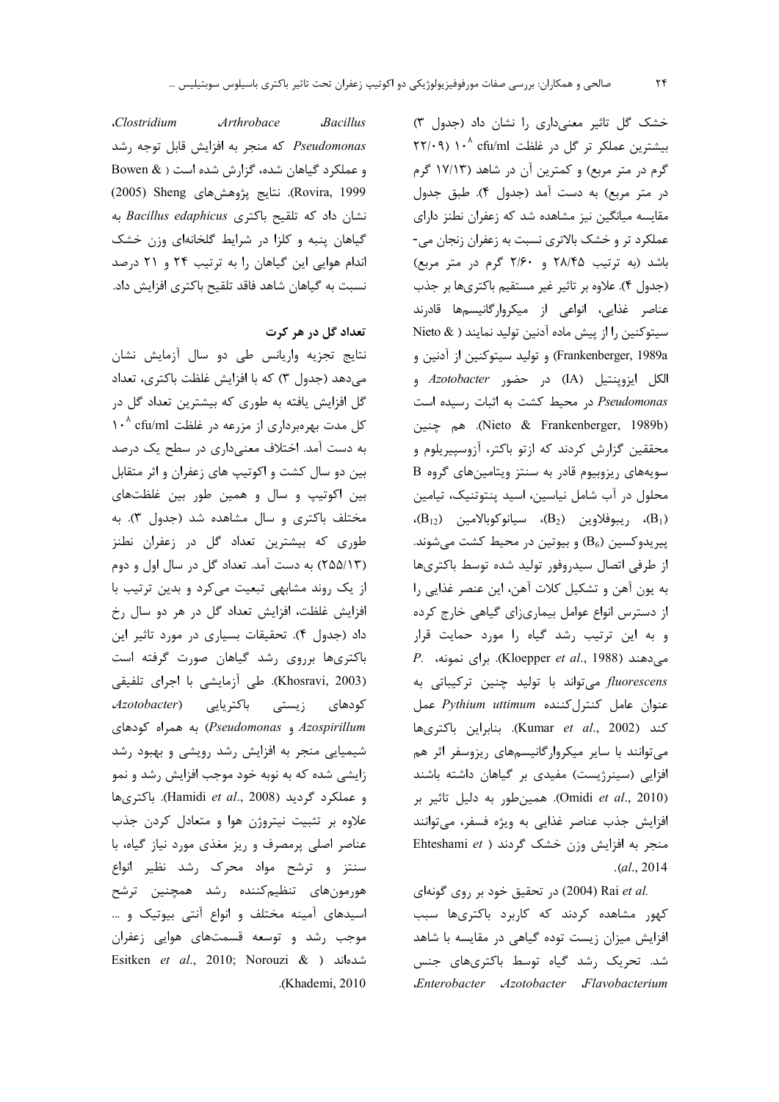خشک گل تاثیر معنی داری را نشان داد (جدول ۳) بیشترین عملکر تر گل در غلظت cfu/ml ۱۰<sup>۸</sup> cfu/ml گرم در متر مربع) و کمترین آن در شاهد (۱۷/۱۳ گرم در متر مربع) به دست آمد (جدول ۴). طبق جدول مقایسه میانگین نیز مشاهده شد که زعفران نطنز دارای عملکرد تر و خشک بالاتری نسبت به زعفران زنجان می-باشد (به ترتیب ۲۸/۴۵ و ۲/۶۰ گرم در متر مربع) (جدول ۴). علاوه بر تاثير غير مستقيم باكترىها بر جذب عناصر غذايي، انواعي از ميكروارگانيسمها قادرند سيتوكنين را از پيش ماده آدنين توليد نمايند ( & Nieto Frankenberger, 1989a) و توليد سيتوكنين از آدنين و الكل ايزوپنتيل (IA) در حضور Azotobacter و Pseudomonas در محیط کشت به اثبات رسیده است (Nieto & Frankenberger, 1989b). هم چنين محققین گزارش کردند که ازتو باکتر، آزوسپیریلوم و سویههای ریزوبیوم قادر به سنتز ویتامینهای گروه B محلول در آب شامل نیاسین، اسید پنتوتنیک، تیامین (B<sub>12</sub>)، ريبوفلاوين (B<sub>2</sub>)، سيانوكوبالامين (B<sub>12</sub>)، پیریدوکسین (B6) و بیوتین در محیط کشت میشوند. از طرفی اتصال سیدروفور تولید شده توسط باکتریها به يون آهن و تشكيل كلات آهن، اين عنصر غذايي را از دسترس انواع عوامل بیماریزای گیاهی خارج کرده و به این ترتیب رشد گیاه را مورد حمایت قرار  $P.$  می دهند (Kloepper et al., 1988). برای نمونه، fluorescens میتواند با تولید چنین ترکیباتی به عنوان عامل كنترل كننده Pythium uttimum عمل كند (Kumar et al., 2002). بنابراين باكترىها می توانند با سایر میکروارگانیسمهای ریزوسفر اثر هم افزایی (سینرژیست) مفیدی بر گیاهان داشته باشند (Omidi et al., 2010). همینطور به دلیل تاثیر بر افزایش جذب عناصر غذایی به ویژه فسفر، میتوانند منجر به افزایش وزن خشک گردند ( Ehteshami et  $. (al., 2014)$ 

.(2004) Rai et al (2004) در تحقیق خود بر روی گونهای کهور مشاهده کردند که کاربرد باکتریها سبب افزایش میزان زیست توده گیاهی در مقایسه با شاهد شد. تحریک رشد گیاه توسط باکتریهای جنس Enterobacter Azotobacter Flavobacterium

.Clostridium Arthrobace Bacillus Pseudomonas كه منجر به افزايش قابل توجه رشد و عملکرد گیاهان شده، گزارش شده است ( & Bowen (Rovira, 1999). نتايج پژوهشهای Sheng (2005) نشان داد که تلقیح باکتری Bacillus edaphicus به گیاهان پنبه و کلزا در شرایط گلخانهای وزن خشک اندام هوایی این گیاهان را به ترتیب ۲۴ و ۲۱ درصد نسبت به گیاهان شاهد فاقد تلقیح باکتری افزایش داد.

### تعداد گل در هر کرت

نتايج تجزيه واريانس طي دو سال آزمايش نشان می دهد (جدول ۳) که با افزایش غلظت باکتری، تعداد گل افزایش یافته به طوری که بیشترین تعداد گل در کل مدت بهرهبرداری از مزرعه در غلظت cfu/ml ۱۰<sup>۸</sup> به دست آمد. اختلاف معنیداری در سطح یک درصد بین دو سال کشت و اکوتیپ های زعفران و اثر متقابل بین اکوتیپ و سال و همین طور بین غلظتهای مختلف باکتری و سال مشاهده شد (جدول ۳). به طوری که بیشترین تعداد گل در زعفران نطنز (٢٥٥/١٣) به دست آمد. تعداد گل در سال اول و دوم از یک روند مشابهی تبعیت می کرد و بدین ترتیب با افزايش غلظت، افزايش تعداد گل در هر دو سال رخ داد (جدول ۴). تحقیقات بسیاری در مورد تاثیر این باکتریها برروی رشد گیاهان صورت گرفته است (Khosravi, 2003). طي آزمايشي با اجراي تلفيقي كودهاى زيستى باكتريايى (Azotobacter Azospirillum و Pseudomonas) به همراه كودهاى شیمیایی منجر به افزایش رشد رویشی و بهبود رشد زایشی شده که به نوبه خود موجب افزایش رشد و نمو و عملكرد گرديد (Hamidi et al., 2008). باكترىها علاوه بر تثبیت نیتروژن هوا و متعادل کردن جذب عناصر اصلی پرمصرف و ریز مغذی مورد نیاز گیاه، با سنتز و ترشح مواد محرک رشد نظیر انواع هورمونهای تنظیمکننده رشد همچنین ترشح اسیدهای آمینه مختلف و انواع آنتی بیوتیک و … موجب رشد و توسعه قسمتهای هوایی زعفران Esitken et al., 2010; Norouzi & ) شدهاند .(Khademi, 2010)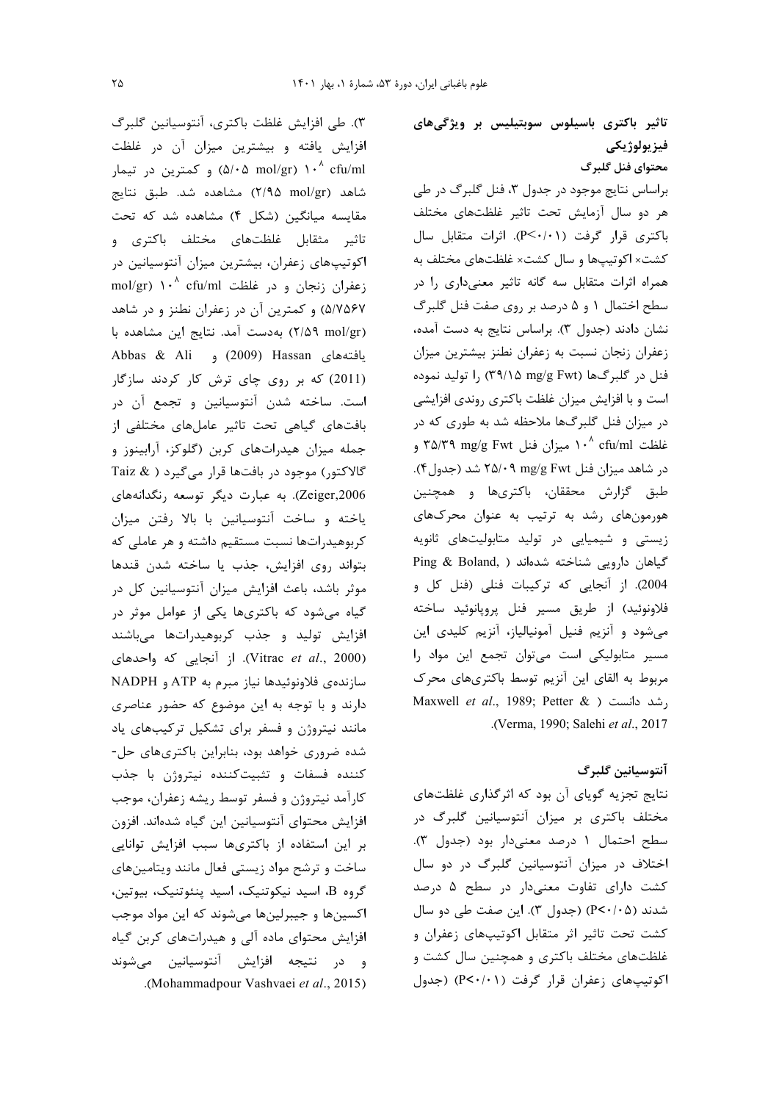٣). طي افزايش غلظت باكترى، آنتوسيانين گلبرگ افزایش یافته و بیشترین میزان آن در غلظت ه کمترین در تیمار (۵/۰۵ mol/gr) ۱۰<sup>۸</sup> cfu/ml شاهد (۲/۹۵ mol/gr) مشاهده شد. طبق نتایج مقایسه میانگین (شکل ۴) مشاهده شد که تحت .<br>تاثیر مثقابل غلظتهای مختلف باکتری و اکوتیپهای زعفران، بیشترین میزان آنتوسیانین در mol/gr) ۱۰<sup>^</sup> cfu/ml نعفران زنجان و در غلظت ۵/۷۵۶۷) و کمترین آن در زعفران نطنز و در شاهد (٢/٥٩ mol/gr) بهدست آمد. نتايج اين مشاهده با Abbas & Ali و (2009) و Abbas & Ali (2011) که بر روی چای ترش کار کردند سازگار است. ساخته شدن آنتوسیانین و تجمع آن در بافتهای گیاهی تحت تاثیر عاملهای مختلفی از جمله میزان هیدراتهای کربن (گلوکز، آرابینوز و گالاکتور) موجود در بافتها قرار میگیرد ( & Taiz Zeiger,2006). به عبارت دیگر توسعه رنگدانههای یاخته و ساخت آنتوسیانین با بالا رفتن میزان کربوهیدراتها نسبت مستقیم داشته و هر عاملی که بتواند روى افزايش، جذب يا ساخته شدن قندها موثر باشد، باعث افزایش میزان آنتوسیانین کل در گیاه می شود که باکتریها یکی از عوامل موثر در افزایش تولید و جذب کربوهیدراتها میباشند (Vitrac et al., 2000). از آنجایی که واحدهای سازنده ی فلاونوئیدها نیاز مبرم به ATP و NADPH دارند و با توجه به این موضوع که حضور عناصری مانند نیتروژن و فسفر برای تشکیل ترکیبهای یاد شده ضروری خواهد بود، بنابراین باکتریهای حل-كننده فسفات و تثبيتكننده نيتروژن با جذب كارآمد نيتروژن و فسفر توسط ريشه زعفران، موجب افزایش محتوای آنتوسیانین این گیاه شدهاند. افزون بر این استفاده از باکتریها سبب افزایش توانایی ساخت و ترشح مواد زیستی فعال مانند ویتامینهای گروه B، اسيد نيكوتنيك، اسيد پنئوتنيك، بيوتين، اکسینها و جیبرلینها میشوند که این مواد موجب افزایش محتوای ماده آلی و هیدراتهای کربن گیاه و در نتيجه افزايش آنتوسيانين مى شوند .(Mohammadpour Vashvaei et al., 2015). تاثیر باکتری باسیلوس سوبتیلیس بر ویژگیهای فيز يولوژيكي محتواي فنل گلبرگ

براساس نتايج موجود در جدول ٣، فنل گلبرگ در طي هر دو سال آزمایش تحت تاثیر غلظتهای مختلف باكترى قرار گرفت (P<۰/۰۱). اثرات متقابل سال کشت× اکوتیپها و سال کشت× غلظتهای مختلف به همراه اثرات متقابل سه گانه تاثیر معنیداری را در سطح اختمال ۱ و ۵ درصد بر روی صفت فنل گلبرگ نشان دادند (جدول ٣). براساس نتايج به دست آمده، زعفران زنجان نسبت به زعفران نطنز بيشترين ميزان فنل در گلبرگها (۳۹/۱۵ mg/g Fwt) را تولید نموده است و با افزایش میزان غلظت باکتری روندی افزایشی در میزان فنل گلبرگها ملاحظه شد به طوری که در غلظت ۱۰<sup>۸</sup> cfu/ml میزان فنل ۳۵/۳۹ mg/g Fwt و در شاهد میزان فنل ۲۵/۰۹ mg/g Fwt شد (جدول۴). طبق گزارش محققان، باکتریها و همچنین هورمونهای رشد به ترتیب به عنوان محرکهای زیستی و شیمیایی در تولید متابولیتهای ثانویه Ping & Boland, ) شناخته شدهاند 2004). از آنجایی که ترکیبات فنلی (فنل کل و فلاونوئيد) از طريق مسير فنل پروپانوئيد ساخته می شود و آنزیم فنیل آمونیالیاز، آنزیم کلیدی این مسیر متابولیکی است می توان تجمع این مواد را مربوط به القای این آنزیم توسط باکتریهای محرک Maxwell et al., 1989; Petter & ) رشد دانست .(Verma, 1990; Salehi et al., 2017).

# آنتوسيانين گلبرگ

نتایج تجزیه گویای آن بود که اثرگذاری غلظتهای مختلف باکتری بر میزان آنتوسیانین گلبرگ در سطح احتمال ١ درصد معنىدار بود (جدول ٣). اختلاف در میزان آنتوسیانین گلبرگ در دو سال کشت دارای تفاوت معنیدار در سطح ۵ درصد شدند (P<٠/٠۵) (جدول ٣). اين صفت طي دو سال کشت تحت تاثیر اثر متقابل اکوتیپهای زعفران و غلظتهای مختلف باکتری و همچنین سال کشت و اکوتیپهای زعفران قرار گرفت (P<۰/۰۱) (جدول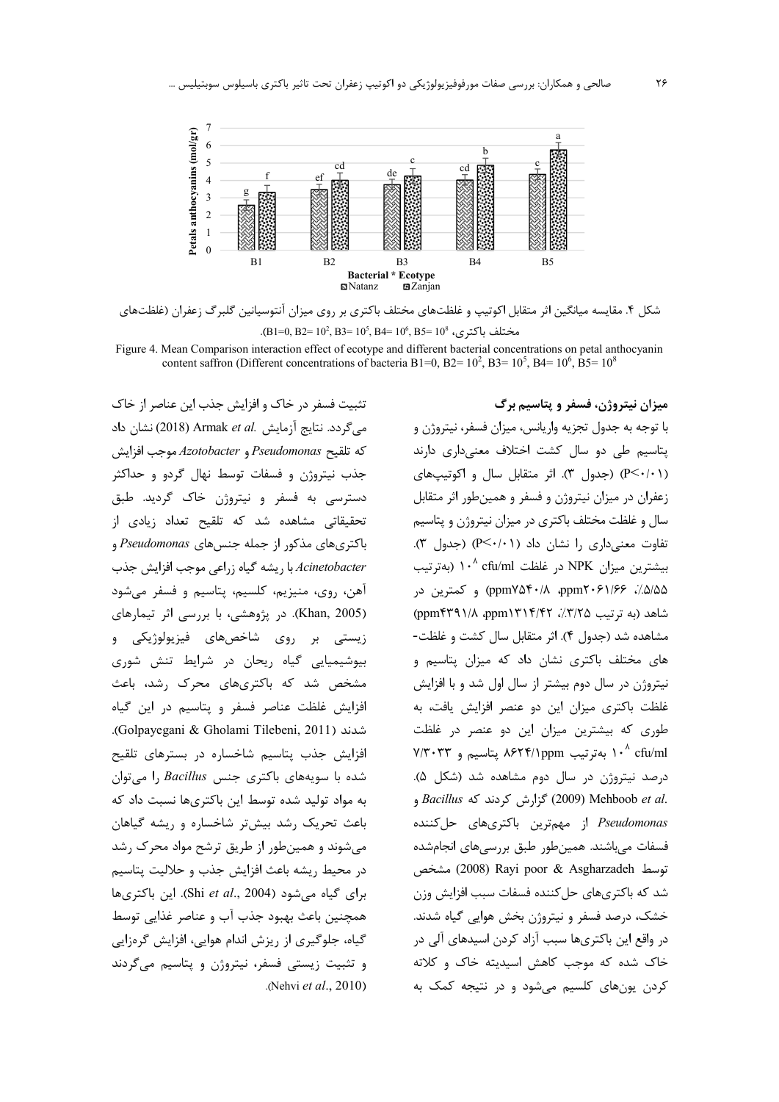

شکل ۴. مقایسه میانگین اثر متقابل اکوتیپ و غلظتهای مختلف باکتری بر روی میزان آنتوسیانین گلبرگ زعفران (غلظتهای مختلف باكترى، 8% B1=0, B2= 10<sup>5</sup>, B3= 10<sup>5</sup>, B4= 10<sup>6</sup>, B5= 10<sup>8</sup>.

Figure 4. Mean Comparison interaction effect of ecotype and different bacterial concentrations on petal anthocyanin content saffron (Different concentrations of bacteria B1=0, B2=  $10^2$ , B3=  $10^5$ , B4=  $10^6$ , B5=  $10^8$ 

تثبیت فسفر در خاک و افزایش جذب این عناصر از خاک می گردد. نتایج آزمایش .Armak et al (2018) نشان داد كه تلقيح Pseudomonas و Azotobacter موجب افزايش جذب نیتروژن و فسفات توسط نهال گردو و حداکثر دسترسی به فسفر و نیتروژن خاک گردید. طبق تحقیقاتی مشاهده شد که تلقیح تعداد زیادی از باکتریهای مذکور از جمله جنسهای Pseudomonas و Acinetobacter با ریشه گیاه زراعی موجب افزایش جذب آهن، روی، منیزیم، کلسیم، پتاسیم و فسفر میشود (Khan, 2005). در پژوهشی، با بررسی اثر تیمارهای زیستی بر روی شاخصهای فیزیولوژیکی و بیوشیمیایی گیاه ریحان در شرایط تنش شوری مشخص شد که باکتریهای محرک رشد، باعث افزایش غلظت عناصر فسفر و پتاسیم در این گیاه .(Golpayegani & Gholami Tilebeni, 2011). افزایش جذب پتاسیم شاخساره در بسترهای تلقیح شده با سویههای باکتری جنس Bacillus را می توان به مواد تولید شده توسط این باکتریها نسبت داد که باعث تحریک رشد بیشتر شاخساره و ریشه گیاهان می شوند و همین طور از طریق ترشح مواد محرک رشد در محيط ريشه باعث افزايش جذب و حلاليت يتاسيم برای گیاه می شود (Shi et al., 2004). این باکتری ها همچنین باعث بهبود جذب آب و عناصر غذایی توسط گیاه، جلوگیری از ریزش اندام هوایی، افزایش گرهزایی و تثبیت زیستی فسفر، نیتروژن و پتاسیم میگردند (Nehvi et al., 2010).

میزان نیتروژن، فسفر و پتاسیم برگ با توجه به جدول تجزيه واريانس، ميزان فسفر، نيتروژن و یتاسیم طی دو سال کشت اختلاف معنیداری دارند (P<٠/٠١) (جدول ٣). اثر متقابل سال و اكوتيپهاى زعفران در میزان نیتروژن و فسفر و همینطور اثر متقابل سال و غلظت مختلف باكترى در ميزان نيتروژن و پتاسيم تفاوت معنى دارى ,ا نشان داد (P<۰/۰۱) (جدول ٣). بیشترین میزان NPK در غلظت ۱۰<sup>۸</sup> cfu/ml (بهترتیب ۵/۵/۵)، ۱۶۶۱/۶۶ ppm۲۰۶۱/۶۶) و کمترین در شاهد (به ترتیب ٣/٢٥٪، ٣/٣١٢/٢٢). ppm) (ppm) مشاهده شد (جدول ۴). اثر متقابل سال کشت و غلظت-های مختلف باکتری نشان داد که میزان پتاسیم و نیتروژن در سال دوم بیشتر از سال اول شد و با افزایش غلظت باكترى ميزان اين دو عنصر افزايش يافت، به طوری که بیشترین میزان این دو عنصر در غلظت ۰٬ cfu/ml ۱۰٬ بهترتیب ۸۶۲۴/۱ppm پتاسیم و ۷/۳۰۳۳ درصد نیتروژن در سال دوم مشاهده شد (شکل ۵). , Bacillus و 2009) گزارش کردند که Bacillus و Pseudomonas از مهمترین باکتریهای حل کننده فسفات می باشند. همین طور طبق بررسی های انجام شده توسط Asgharzadeh (2008) Rayi poor & Asgharzadeh مشخص شد که باکتریهای حل کننده فسفات سبب افزایش وزن خشک، درصد فسفر و نیتروژن بخش هوایی گیاه شدند. در واقع این باکتریها سبب آزاد کردن اسیدهای آلی در خاک شده که موجب کاهش اسیدیته خاک و کلاته کردن یونهای کلسیم می شود و در نتیجه کمک به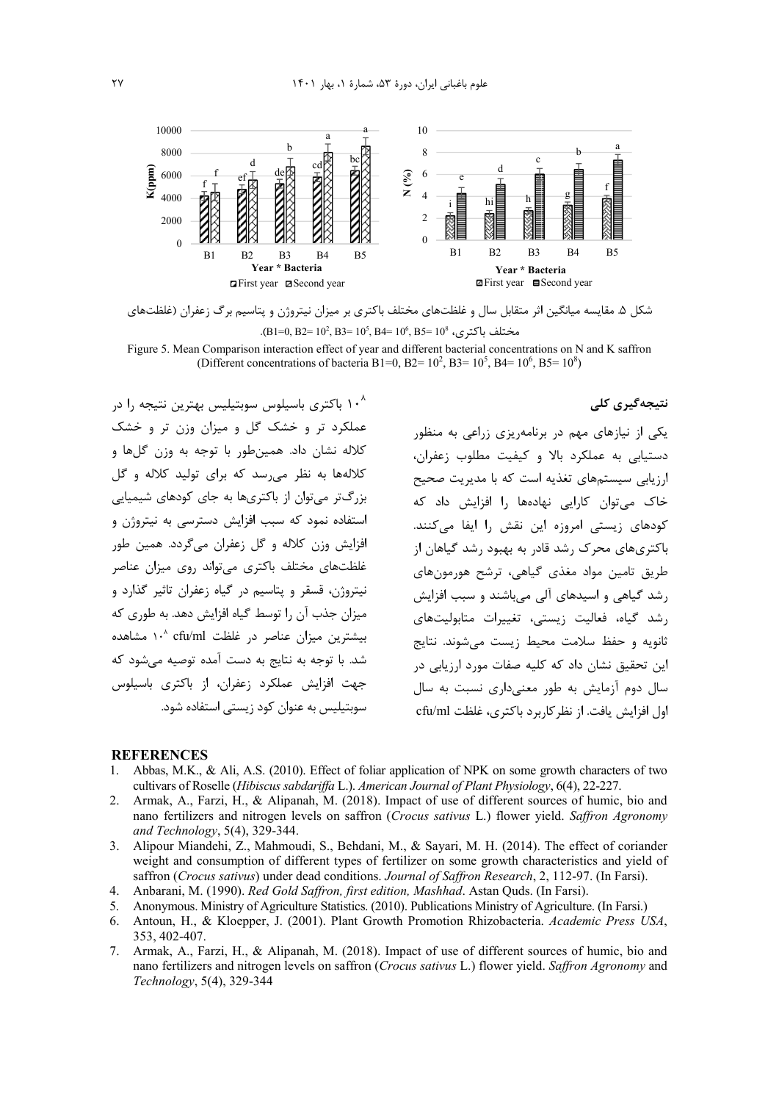

شکل ۵. مقایسه میانگین اثر متقابل سال و غلظتهای مختلف باکتری بر میزان نیتروژن و پتاسیم برگ زعفران (غلظتهای مختلف باكترى، 8% B1=0, B2= 10<sup>5</sup>, B3= 10<sup>5</sup>, B4= 10<sup>6</sup>, B5= 10<sup>8</sup>.

Figure 5. Mean Comparison interaction effect of year and different bacterial concentrations on N and K saffron (Different concentrations of bacteria B1=0, B2=  $10^2$ , B3=  $10^5$ , B4=  $10^6$ , B5=  $10^8$ )

### نتىجەگىرى كلى

۱۰<sup>۸</sup> باکتری باسیلوس سوبتیلیس بهترین نتیجه را در عملکرد تر و خشک گل و میزان وزن تر و خشک كلاله نشان داد. همين طور با توجه به وزن گلها و کلالهها به نظر می رسد که برای تولید کلاله و گل بزرگتر می توان از باکتریها به جای کودهای شیمیایی استفاده نمود که سبب افزایش دسترسی به نیتروژن و افزایش وزن کلاله و گل زعفران میگردد. همین طور غلظتهای مختلف باکتری می تواند روی میزان عناصر .<br>نیتروژن، قسقر و پتاسیم در گیاه زعفران تاثیر گذارد و میزان جذب آن ,ا توسط گیاه افزایش دهد. به طوری که بیشترین میزان عناصر در غلظت cfu/ml ۱۰<sup>۸</sup> مشاهده شد. با توجه به نتایج به دست آمده توصیه می شود که .<br>جهت افزایش عملکرد زعفران، از باکتری باسیلوس سوبتیلیس به عنوان کود زیستی استفاده شود.

یکی از نیازهای مهم در برنامهریزی زراعی به منظور دستیایی به عملکرد بالا و کیفیت مطلوب زعفران، ارزیابی سیستمهای تغذیه است که با مدیریت صحیح .<br>خاک می توان کارایی نهادهها ۱٫ افزایش داد که کودهای زیستی امروزه این نقش را ایفا می کنند. باکتریهای محرک رشد قادر به بهبود رشد گیاهان از طریق تامین مواد مغذی گیاهی، ترشح هورمونهای رشد گیاهی و اسیدهای آلی میباشند و سبب افزایش رشد گیاه، فعالیت زیستی، تغییرات متابولیتهای ثانویه و حفظ سلامت محیط زیست می شوند. نتایج این تحقیق نشان داد که کلیه صفات مورد ارزیابی در سال دوم آزمایش به طور معنیداری نسبت به سال اول افزایش یافت. از نظر کاربرد باکتری، غلظت cfu/ml

#### **REFERENCES**

- Abbas, M.K., & Ali, A.S. (2010). Effect of foliar application of NPK on some growth characters of two  $\mathbf{1}$ . cultivars of Roselle (Hibiscus sabdariffa L.). American Journal of Plant Physiology, 6(4), 22-227.
- Armak, A., Farzi, H., & Alipanah, M. (2018). Impact of use of different sources of humic, bio and  $\mathcal{D}$ nano fertilizers and nitrogen levels on saffron (Crocus sativus L.) flower yield. Saffron Agronomy and Technology, 5(4), 329-344.
- Alipour Miandehi, Z., Mahmoudi, S., Behdani, M., & Sayari, M. H. (2014). The effect of coriander  $\mathcal{R}$ weight and consumption of different types of fertilizer on some growth characteristics and yield of saffron (Crocus sativus) under dead conditions. Journal of Saffron Research, 2, 112-97. (In Farsi).
- $\overline{4}$ Anbarani, M. (1990). Red Gold Saffron, first edition, Mashhad. Astan Quds. (In Farsi).
- 5. Anonymous. Ministry of Agriculture Statistics. (2010). Publications Ministry of Agriculture. (In Farsi.)
- 6. Antoun, H., & Kloepper, J. (2001). Plant Growth Promotion Rhizobacteria. Academic Press USA, 353, 402-407.
- 7. Armak, A., Farzi, H., & Alipanah, M. (2018). Impact of use of different sources of humic, bio and nano fertilizers and nitrogen levels on saffron (Crocus sativus L.) flower yield. Saffron Agronomy and Technology, 5(4), 329-344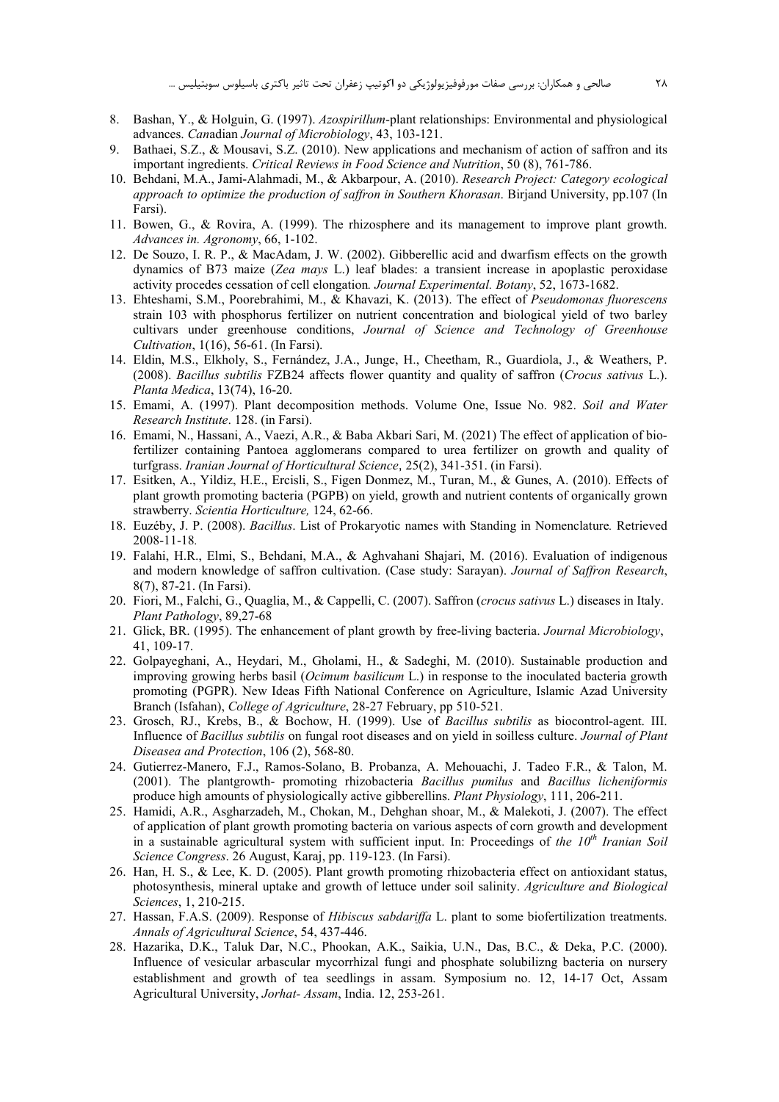- 8. Bashan, Y., & Holguin, G. (1997). Azospirillum-plant relationships: Environmental and physiological advances. Canadian Journal of Microbiology, 43, 103-121.
- 9. Bathaei, S.Z., & Mousavi, S.Z. (2010). New applications and mechanism of action of saffron and its important ingredients. Critical Reviews in Food Science and Nutrition, 50 (8), 761-786.
- 10. Behdani, M.A., Jami-Alahmadi, M., & Akbarpour, A. (2010). Research Project: Category ecological approach to optimize the production of saffron in Southern Khorasan. Birjand University, pp.107 (In Farsi).
- 11. Bowen, G., & Rovira, A. (1999). The rhizosphere and its management to improve plant growth. Advances in. Agronomy, 66, 1-102.
- 12. De Souzo, I. R. P., & MacAdam, J. W. (2002). Gibberellic acid and dwarfism effects on the growth dynamics of B73 maize (Zea mays L.) leaf blades: a transient increase in apoplastic peroxidase activity procedes cessation of cell elongation. Journal Experimental. Botany, 52, 1673-1682.
- 13. Ehteshami, S.M., Poorebrahimi, M., & Khavazi, K. (2013). The effect of Pseudomonas fluorescens strain 103 with phosphorus fertilizer on nutrient concentration and biological yield of two barley cultivars under greenhouse conditions, Journal of Science and Technology of Greenhouse *Cultivation, 1(16), 56-61. (In Farsi).*
- 14. Eldin, M.S., Elkholy, S., Fernández, J.A., Junge, H., Cheetham, R., Guardiola, J., & Weathers, P. (2008). Bacillus subtilis FZB24 affects flower quantity and quality of saffron (Crocus sativus L.). Planta Medica, 13(74), 16-20.
- 15. Emami, A. (1997). Plant decomposition methods. Volume One, Issue No. 982. Soil and Water Research Institute. 128. (in Farsi).
- 16. Emami, N., Hassani, A., Vaezi, A.R., & Baba Akbari Sari, M. (2021) The effect of application of biofertilizer containing Pantoea agglomerans compared to urea fertilizer on growth and quality of turfgrass. Iranian Journal of Horticultural Science, 25(2), 341-351. (in Farsi).
- 17. Esitken, A., Yildiz, H.E., Ercisli, S., Figen Donmez, M., Turan, M., & Gunes, A. (2010). Effects of plant growth promoting bacteria (PGPB) on vield, growth and nutrient contents of organically grown strawberry. Scientia Horticulture, 124, 62-66.
- 18. Euzéby, J. P. (2008). Bacillus. List of Prokaryotic names with Standing in Nomenclature. Retrieved 2008-11-18.
- 19. Falahi, H.R., Elmi, S., Behdani, M.A., & Aghvahani Shajari, M. (2016). Evaluation of indigenous and modern knowledge of saffron cultivation. (Case study: Sarayan). Journal of Saffron Research, 8(7), 87-21. (In Farsi).
- 20. Fiori, M., Falchi, G., Quaglia, M., & Cappelli, C. (2007). Saffron (crocus sativus L.) diseases in Italy. Plant Pathology, 89,27-68
- 21. Glick, BR. (1995). The enhancement of plant growth by free-living bacteria. Journal Microbiology, 41, 109-17.
- 22. Golpayeghani, A., Heydari, M., Gholami, H., & Sadeghi, M. (2010). Sustainable production and improving growing herbs basil (*Ocimum basilicum L.*) in response to the inoculated bacteria growth promoting (PGPR). New Ideas Fifth National Conference on Agriculture, Islamic Azad University Branch (Isfahan), College of Agriculture, 28-27 February, pp 510-521.
- 23. Grosch, RJ., Krebs, B., & Bochow, H. (1999). Use of Bacillus subtilis as biocontrol-agent. III. Influence of Bacillus subtilis on fungal root diseases and on yield in soilless culture. Journal of Plant Diseasea and Protection, 106 (2), 568-80.
- 24. Gutierrez-Manero, F.J., Ramos-Solano, B. Probanza, A. Mehouachi, J. Tadeo F.R., & Talon, M. (2001). The plantgrowth- promoting rhizobacteria Bacillus pumilus and Bacillus licheniformis produce high amounts of physiologically active gibberellins. Plant Physiology, 111, 206-211.
- 25. Hamidi, A.R., Asgharzadeh, M., Chokan, M., Dehghan shoar, M., & Malekoti, J. (2007). The effect of application of plant growth promoting bacteria on various aspects of corn growth and development in a sustainable agricultural system with sufficient input. In: Proceedings of the  $10<sup>th</sup>$  Iranian Soil Science Congress. 26 August, Karaj, pp. 119-123. (In Farsi).
- 26. Han, H. S., & Lee, K. D. (2005). Plant growth promoting rhizobacteria effect on antioxidant status, photosynthesis, mineral uptake and growth of lettuce under soil salinity. Agriculture and Biological Sciences, 1, 210-215.
- 27. Hassan, F.A.S. (2009). Response of *Hibiscus sabdariffa* L. plant to some biofertilization treatments. Annals of Agricultural Science, 54, 437-446.
- 28. Hazarika, D.K., Taluk Dar, N.C., Phookan, A.K., Saikia, U.N., Das, B.C., & Deka, P.C. (2000). Influence of vesicular arbascular mycorrhizal fungi and phosphate solubilizng bacteria on nursery establishment and growth of tea seedlings in assam. Symposium no. 12, 14-17 Oct, Assam Agricultural University, Jorhat- Assam, India. 12, 253-261.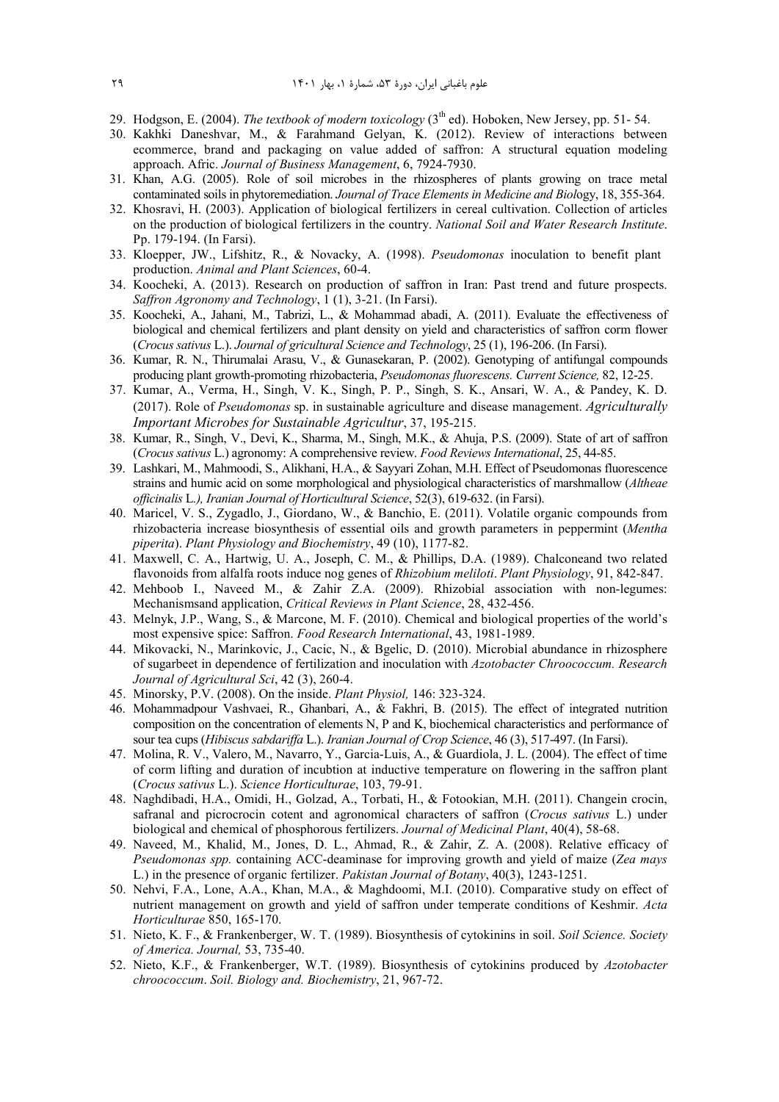- 29. Hodgson, E. (2004). *The textbook of modern toxicology* (3<sup>th</sup> ed). Hoboken, New Jersey, pp. 51-54.
- 30. Kakhki Daneshvar, M., & Farahmand Gelyan, K. (2012). Review of interactions between ecommerce, brand and packaging on value added of saffron: A structural equation modeling approach. Afric. *Journal of Business Management*, 6, 7924-7930.
- 31. Khan, A.G. (2005). Role of soil microbes in the rhizospheres of plants growing on trace metal contaminated soils in phytoremediation. *Journal of Trace Elements in Medicine and Biol*ogy, 18, 355-364.
- 32. Khosravi, H. (2003). Application of biological fertilizers in cereal cultivation. Collection of articles on the production of biological fertilizers in the country. *National Soil and Water Research Institute*. Pp. 179-194. (In Farsi).
- 33. Kloepper, JW., Lifshitz, R., & Novacky, A. (1998). *Pseudomonas* inoculation to benefit plant production. *Animal and Plant Sciences*, 60-4.
- 34. Koocheki, A. (2013). Research on production of saffron in Iran: Past trend and future prospects. *Saffron Agronomy and Technology*, 1 (1), 3-21. (In Farsi).
- 35. Koocheki, A., Jahani, M., Tabrizi, L., & Mohammad abadi, A. (2011). Evaluate the effectiveness of biological and chemical fertilizers and plant density on yield and characteristics of saffron corm flower (*Crocus sativus* L.). *Journal of gricultural Science and Technology*, 25 (1), 196-206. (In Farsi).
- 36. Kumar, R. N., Thirumalai Arasu, V., & Gunasekaran, P. (2002). Genotyping of antifungal compounds producing plant growth-promoting rhizobacteria, *Pseudomonas fluorescens. Current Science,* 82, 12-25.
- 37. Kumar, A., Verma, H., Singh, V. K., Singh, P. P., Singh, S. K., Ansari, W. A., & Pandey, K. D. (2017). Role of *Pseudomonas* sp. in sustainable agriculture and disease management. *Agriculturally Important Microbes for Sustainable Agricultur*, 37, 195-215.
- 38. Kumar, R., Singh, V., Devi, K., Sharma, M., Singh, M.K., & Ahuja, P.S. (2009). State of art of saffron (*Crocus sativus* L.) agronomy: A comprehensive review. *Food Reviews International*, 25, 44-85.
- 39. Lashkari, M., Mahmoodi, S., Alikhani, H.A., & Sayyari Zohan, M.H. Effect of Pseudomonas fluorescence strains and humic acid on some morphological and physiological characteristics of marshmallow (*Altheae officinalis* L*.), Iranian Journal of Horticultural Science*, 52(3), 619-632. (in Farsi).
- 40. Maricel, V. S., Zygadlo, J., Giordano, W., & Banchio, E. (2011). Volatile organic compounds from rhizobacteria increase biosynthesis of essential oils and growth parameters in peppermint (*Mentha piperita*). *Plant Physiology and Biochemistry*, 49 (10), 1177-82.
- 41. Maxwell, C. A., Hartwig, U. A., Joseph, C. M., & Phillips, D.A. (1989). Chalconeand two related flavonoids from alfalfa roots induce nog genes of *Rhizobium meliloti*. *Plant Physiology*, 91, 842-847.
- 42. Mehboob I., Naveed M., & Zahir Z.A. (2009). Rhizobial association with non-legumes: Mechanismsand application, *Critical Reviews in Plant Science*, 28, 432-456.
- 43. Melnyk, J.P., Wang, S., & Marcone, M. F. (2010). Chemical and biological properties of the world's most expensive spice: Saffron. *Food Research International*, 43, 1981-1989.
- 44. Mikovacki, N., Marinkovic, J., Cacic, N., & Bgelic, D. (2010). Microbial abundance in rhizosphere of sugarbeet in dependence of fertilization and inoculation with *Azotobacter Chroococcum. Research Journal of Agricultural Sci*, 42 (3), 260-4.
- 45. Minorsky, P.V. (2008). On the inside. *Plant Physiol,* 146: 323-324.
- 46. Mohammadpour Vashvaei, R., Ghanbari, A., & Fakhri, B. (2015). The effect of integrated nutrition composition on the concentration of elements N, P and K, biochemical characteristics and performance of sour tea cups (*Hibiscus sabdariffa* L.). *Iranian Journal of Crop Science*, 46 (3), 517-497. (In Farsi).
- 47. Molina, R. V., Valero, M., Navarro, Y., Garcia-Luis, A., & Guardiola, J. L. (2004). The effect of time of corm lifting and duration of incubtion at inductive temperature on flowering in the saffron plant (*Crocus sativus* L.). *Science Horticulturae*, 103, 79-91.
- 48. Naghdibadi, H.A., Omidi, H., Golzad, A., Torbati, H., & Fotookian, M.H. (2011). Changein crocin, safranal and picrocrocin cotent and agronomical characters of saffron (*Crocus sativus* L.) under biological and chemical of phosphorous fertilizers. *Journal of Medicinal Plant*, 40(4), 58-68.
- 49. Naveed, M., Khalid, M., Jones, D. L., Ahmad, R., & Zahir, Z. A. (2008). Relative efficacy of *Pseudomonas spp.* containing ACC-deaminase for improving growth and yield of maize (*Zea mays*  L.) in the presence of organic fertilizer. *Pakistan Journal of Botany*, 40(3), 1243-1251.
- 50. Nehvi, F.A., Lone, A.A., Khan, M.A., & Maghdoomi, M.I. (2010). Comparative study on effect of nutrient management on growth and yield of saffron under temperate conditions of Keshmir. *Acta Horticulturae* 850, 165-170.
- 51. Nieto, K. F., & Frankenberger, W. T. (1989). Biosynthesis of cytokinins in soil. *Soil Science. Society of America. Journal,* 53, 735-40.
- 52. Nieto, K.F., & Frankenberger, W.T. (1989). Biosynthesis of cytokinins produced by *Azotobacter chroococcum*. *Soil. Biology and. Biochemistry*, 21, 967-72.